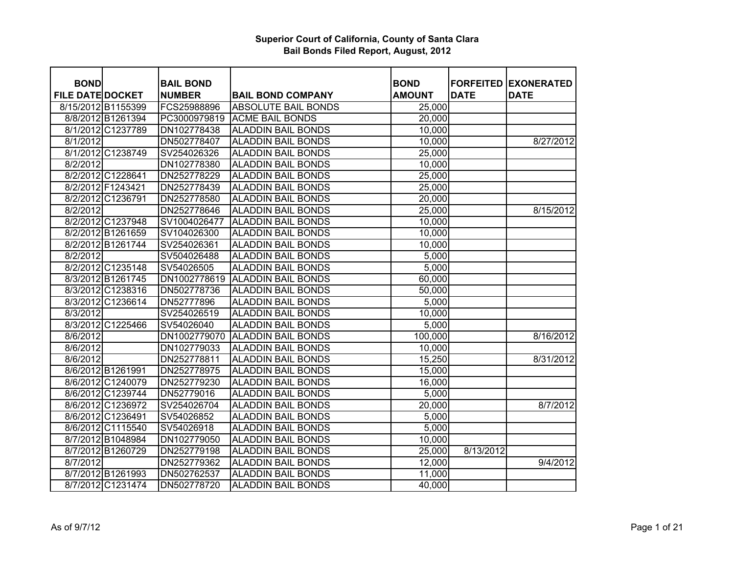| <b>BOND</b>             |                   |                                   |                            | <b>BOND</b>   |                                 |                                  |
|-------------------------|-------------------|-----------------------------------|----------------------------|---------------|---------------------------------|----------------------------------|
| <b>FILE DATE DOCKET</b> |                   | <b>BAIL BOND</b><br><b>NUMBER</b> | <b>BAIL BOND COMPANY</b>   | <b>AMOUNT</b> | <b>FORFEITED</b><br><b>DATE</b> | <b>EXONERATED</b><br><b>DATE</b> |
| 8/15/2012 B1155399      |                   | FCS25988896                       | <b>ABSOLUTE BAIL BONDS</b> | 25,000        |                                 |                                  |
|                         | 8/8/2012 B1261394 | PC3000979819                      | <b>ACME BAIL BONDS</b>     | 20,000        |                                 |                                  |
|                         | 8/1/2012 C1237789 | DN102778438                       | <b>ALADDIN BAIL BONDS</b>  | 10,000        |                                 |                                  |
| 8/1/2012                |                   | DN502778407                       | <b>ALADDIN BAIL BONDS</b>  | 10,000        |                                 | 8/27/2012                        |
|                         | 8/1/2012 C1238749 | SV254026326                       | <b>ALADDIN BAIL BONDS</b>  | 25,000        |                                 |                                  |
| 8/2/2012                |                   | DN102778380                       | <b>ALADDIN BAIL BONDS</b>  | 10,000        |                                 |                                  |
|                         | 8/2/2012 C1228641 | DN252778229                       | <b>ALADDIN BAIL BONDS</b>  | 25,000        |                                 |                                  |
|                         | 8/2/2012 F1243421 | DN252778439                       | <b>ALADDIN BAIL BONDS</b>  | 25,000        |                                 |                                  |
|                         | 8/2/2012 C1236791 | DN252778580                       | <b>ALADDIN BAIL BONDS</b>  | 20,000        |                                 |                                  |
| 8/2/2012                |                   | DN252778646                       | <b>ALADDIN BAIL BONDS</b>  | 25,000        |                                 | 8/15/2012                        |
|                         | 8/2/2012 C1237948 | SV1004026477                      | <b>ALADDIN BAIL BONDS</b>  | 10,000        |                                 |                                  |
|                         | 8/2/2012 B1261659 | SV104026300                       | <b>ALADDIN BAIL BONDS</b>  | 10,000        |                                 |                                  |
|                         | 8/2/2012 B1261744 |                                   |                            |               |                                 |                                  |
|                         |                   | SV254026361                       | <b>ALADDIN BAIL BONDS</b>  | 10,000        |                                 |                                  |
| 8/2/2012                |                   | SV504026488                       | <b>ALADDIN BAIL BONDS</b>  | 5,000         |                                 |                                  |
|                         | 8/2/2012 C1235148 | SV54026505                        | <b>ALADDIN BAIL BONDS</b>  | 5,000         |                                 |                                  |
|                         | 8/3/2012 B1261745 | DN1002778619                      | <b>ALADDIN BAIL BONDS</b>  | 60,000        |                                 |                                  |
|                         | 8/3/2012 C1238316 | DN502778736                       | <b>ALADDIN BAIL BONDS</b>  | 50,000        |                                 |                                  |
|                         | 8/3/2012 C1236614 | DN52777896                        | <b>ALADDIN BAIL BONDS</b>  | 5,000         |                                 |                                  |
| 8/3/2012                |                   | SV254026519                       | <b>ALADDIN BAIL BONDS</b>  | 10,000        |                                 |                                  |
|                         | 8/3/2012 C1225466 | SV54026040                        | <b>ALADDIN BAIL BONDS</b>  | 5,000         |                                 |                                  |
| 8/6/2012                |                   | DN1002779070                      | <b>ALADDIN BAIL BONDS</b>  | 100,000       |                                 | 8/16/2012                        |
| 8/6/2012                |                   | DN102779033                       | <b>ALADDIN BAIL BONDS</b>  | 10,000        |                                 |                                  |
| 8/6/2012                |                   | DN252778811                       | <b>ALADDIN BAIL BONDS</b>  | 15,250        |                                 | 8/31/2012                        |
|                         | 8/6/2012 B1261991 | DN252778975                       | <b>ALADDIN BAIL BONDS</b>  | 15,000        |                                 |                                  |
|                         | 8/6/2012 C1240079 | DN252779230                       | <b>ALADDIN BAIL BONDS</b>  | 16,000        |                                 |                                  |
|                         | 8/6/2012 C1239744 | DN52779016                        | <b>ALADDIN BAIL BONDS</b>  | 5,000         |                                 |                                  |
|                         | 8/6/2012 C1236972 | SV254026704                       | <b>ALADDIN BAIL BONDS</b>  | 20,000        |                                 | 8/7/2012                         |
|                         | 8/6/2012 C1236491 | SV54026852                        | <b>ALADDIN BAIL BONDS</b>  | 5,000         |                                 |                                  |
|                         | 8/6/2012 C1115540 | SV54026918                        | <b>ALADDIN BAIL BONDS</b>  | 5,000         |                                 |                                  |
|                         | 8/7/2012 B1048984 | DN102779050                       | <b>ALADDIN BAIL BONDS</b>  | 10,000        |                                 |                                  |
|                         | 8/7/2012 B1260729 | DN252779198                       | <b>ALADDIN BAIL BONDS</b>  | 25,000        | 8/13/2012                       |                                  |
| 8/7/2012                |                   | DN252779362                       | <b>ALADDIN BAIL BONDS</b>  | 12,000        |                                 | 9/4/2012                         |
|                         | 8/7/2012 B1261993 | DN502762537                       | <b>ALADDIN BAIL BONDS</b>  | 11,000        |                                 |                                  |
|                         | 8/7/2012 C1231474 | DN502778720                       | <b>ALADDIN BAIL BONDS</b>  | 40,000        |                                 |                                  |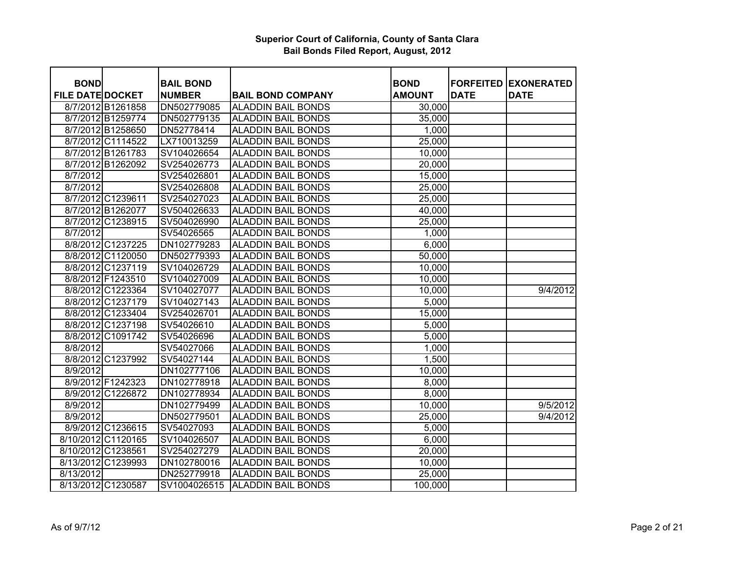| <b>BOND</b>             |                    | <b>BAIL BOND</b> |                           | <b>BOND</b>   | <b>FORFEITED</b> | <b>EXONERATED</b> |
|-------------------------|--------------------|------------------|---------------------------|---------------|------------------|-------------------|
| <b>FILE DATE DOCKET</b> |                    | <b>NUMBER</b>    | <b>BAIL BOND COMPANY</b>  | <b>AMOUNT</b> | <b>DATE</b>      | <b>DATE</b>       |
|                         | 8/7/2012 B1261858  | DN502779085      | <b>ALADDIN BAIL BONDS</b> | 30,000        |                  |                   |
|                         | 8/7/2012 B1259774  | DN502779135      | <b>ALADDIN BAIL BONDS</b> | 35,000        |                  |                   |
|                         | 8/7/2012 B1258650  | DN52778414       | <b>ALADDIN BAIL BONDS</b> | 1,000         |                  |                   |
|                         | 8/7/2012 C1114522  | LX710013259      | <b>ALADDIN BAIL BONDS</b> | 25,000        |                  |                   |
|                         | 8/7/2012 B1261783  | SV104026654      | <b>ALADDIN BAIL BONDS</b> | 10,000        |                  |                   |
|                         | 8/7/2012 B1262092  | SV254026773      | <b>ALADDIN BAIL BONDS</b> | 20,000        |                  |                   |
| 8/7/2012                |                    | SV254026801      | <b>ALADDIN BAIL BONDS</b> | 15,000        |                  |                   |
| 8/7/2012                |                    | SV254026808      | <b>ALADDIN BAIL BONDS</b> | 25,000        |                  |                   |
|                         | 8/7/2012 C1239611  | SV254027023      | <b>ALADDIN BAIL BONDS</b> | 25,000        |                  |                   |
|                         | 8/7/2012 B1262077  | SV504026633      | <b>ALADDIN BAIL BONDS</b> | 40,000        |                  |                   |
|                         | 8/7/2012 C1238915  | SV504026990      | <b>ALADDIN BAIL BONDS</b> |               |                  |                   |
|                         |                    |                  | <b>ALADDIN BAIL BONDS</b> | 25,000        |                  |                   |
| 8/7/2012                |                    | SV54026565       |                           | 1,000         |                  |                   |
|                         | 8/8/2012 C1237225  | DN102779283      | <b>ALADDIN BAIL BONDS</b> | 6,000         |                  |                   |
|                         | 8/8/2012 C1120050  | DN502779393      | <b>ALADDIN BAIL BONDS</b> | 50,000        |                  |                   |
|                         | 8/8/2012 C1237119  | SV104026729      | <b>ALADDIN BAIL BONDS</b> | 10,000        |                  |                   |
|                         | 8/8/2012 F1243510  | SV104027009      | <b>ALADDIN BAIL BONDS</b> | 10,000        |                  |                   |
|                         | 8/8/2012 C1223364  | SV104027077      | <b>ALADDIN BAIL BONDS</b> | 10,000        |                  | 9/4/2012          |
|                         | 8/8/2012 C1237179  | SV104027143      | <b>ALADDIN BAIL BONDS</b> | 5,000         |                  |                   |
|                         | 8/8/2012 C1233404  | SV254026701      | <b>ALADDIN BAIL BONDS</b> | 15,000        |                  |                   |
|                         | 8/8/2012 C1237198  | SV54026610       | <b>ALADDIN BAIL BONDS</b> | 5,000         |                  |                   |
|                         | 8/8/2012 C1091742  | SV54026696       | <b>ALADDIN BAIL BONDS</b> | 5,000         |                  |                   |
| $\sqrt{8/8/2012}$       |                    | SV54027066       | <b>ALADDIN BAIL BONDS</b> | 1,000         |                  |                   |
|                         | 8/8/2012 C1237992  | SV54027144       | <b>ALADDIN BAIL BONDS</b> | 1,500         |                  |                   |
| 8/9/2012                |                    | DN102777106      | <b>ALADDIN BAIL BONDS</b> | 10,000        |                  |                   |
|                         | 8/9/2012 F1242323  | DN102778918      | <b>ALADDIN BAIL BONDS</b> | 8,000         |                  |                   |
|                         | 8/9/2012 C1226872  | DN102778934      | <b>ALADDIN BAIL BONDS</b> | 8,000         |                  |                   |
| 8/9/2012                |                    | DN102779499      | <b>ALADDIN BAIL BONDS</b> | 10,000        |                  | 9/5/2012          |
| 8/9/2012                |                    | DN502779501      | <b>ALADDIN BAIL BONDS</b> | 25,000        |                  | 9/4/2012          |
|                         | 8/9/2012 C1236615  | SV54027093       | <b>ALADDIN BAIL BONDS</b> | 5,000         |                  |                   |
| 8/10/2012 C1120165      |                    | SV104026507      | <b>ALADDIN BAIL BONDS</b> | 6,000         |                  |                   |
| 8/10/2012 C1238561      |                    | SV254027279      | <b>ALADDIN BAIL BONDS</b> | 20,000        |                  |                   |
|                         | 8/13/2012 C1239993 | DN102780016      | <b>ALADDIN BAIL BONDS</b> | 10,000        |                  |                   |
| 8/13/2012               |                    | DN252779918      | <b>ALADDIN BAIL BONDS</b> | 25,000        |                  |                   |
|                         | 8/13/2012 C1230587 | SV1004026515     | <b>ALADDIN BAIL BONDS</b> | 100,000       |                  |                   |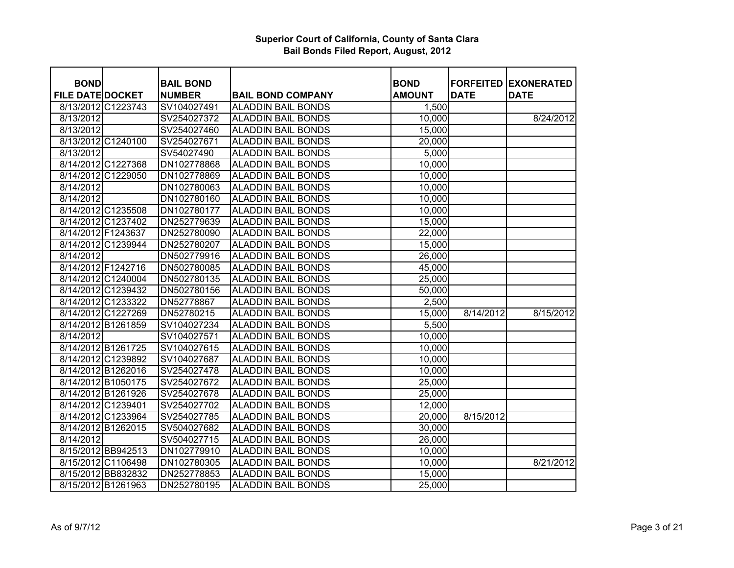| <b>BOND</b>             |                    | <b>BAIL BOND</b> |                           | <b>BOND</b>   | <b>FORFEITED</b> | <b>EXONERATED</b> |
|-------------------------|--------------------|------------------|---------------------------|---------------|------------------|-------------------|
| <b>FILE DATE DOCKET</b> |                    | <b>NUMBER</b>    | <b>BAIL BOND COMPANY</b>  | <b>AMOUNT</b> | <b>DATE</b>      | <b>DATE</b>       |
|                         | 8/13/2012 C1223743 | SV104027491      | <b>ALADDIN BAIL BONDS</b> | 1,500         |                  |                   |
| 8/13/2012               |                    | SV254027372      | <b>ALADDIN BAIL BONDS</b> | 10,000        |                  | 8/24/2012         |
| 8/13/2012               |                    | SV254027460      | <b>ALADDIN BAIL BONDS</b> | 15,000        |                  |                   |
|                         | 8/13/2012 C1240100 | SV254027671      | <b>ALADDIN BAIL BONDS</b> | 20,000        |                  |                   |
| 8/13/2012               |                    | SV54027490       | <b>ALADDIN BAIL BONDS</b> | 5,000         |                  |                   |
|                         | 8/14/2012 C1227368 | DN102778868      | <b>ALADDIN BAIL BONDS</b> | 10,000        |                  |                   |
|                         | 8/14/2012 C1229050 | DN102778869      | <b>ALADDIN BAIL BONDS</b> | 10,000        |                  |                   |
| 8/14/2012               |                    | DN102780063      | <b>ALADDIN BAIL BONDS</b> | 10,000        |                  |                   |
| 8/14/2012               |                    | DN102780160      | <b>ALADDIN BAIL BONDS</b> | 10,000        |                  |                   |
|                         | 8/14/2012 C1235508 | DN102780177      | <b>ALADDIN BAIL BONDS</b> | 10,000        |                  |                   |
|                         | 8/14/2012 C1237402 | DN252779639      | <b>ALADDIN BAIL BONDS</b> | 15,000        |                  |                   |
|                         | 8/14/2012 F1243637 | DN252780090      | <b>ALADDIN BAIL BONDS</b> | 22,000        |                  |                   |
|                         | 8/14/2012 C1239944 | DN252780207      | <b>ALADDIN BAIL BONDS</b> | 15,000        |                  |                   |
| 8/14/2012               |                    | DN502779916      | <b>ALADDIN BAIL BONDS</b> | 26,000        |                  |                   |
|                         | 8/14/2012 F1242716 | DN502780085      | <b>ALADDIN BAIL BONDS</b> | 45,000        |                  |                   |
|                         | 8/14/2012 C1240004 | DN502780135      | <b>ALADDIN BAIL BONDS</b> | 25,000        |                  |                   |
|                         | 8/14/2012 C1239432 | DN502780156      | <b>ALADDIN BAIL BONDS</b> | 50,000        |                  |                   |
|                         | 8/14/2012 C1233322 | DN52778867       | <b>ALADDIN BAIL BONDS</b> | 2,500         |                  |                   |
|                         | 8/14/2012 C1227269 | DN52780215       | <b>ALADDIN BAIL BONDS</b> | 15,000        | 8/14/2012        | 8/15/2012         |
|                         | 8/14/2012 B1261859 | SV104027234      | <b>ALADDIN BAIL BONDS</b> | 5,500         |                  |                   |
| 8/14/2012               |                    | SV104027571      | <b>ALADDIN BAIL BONDS</b> | 10,000        |                  |                   |
|                         | 8/14/2012 B1261725 | SV104027615      | <b>ALADDIN BAIL BONDS</b> | 10,000        |                  |                   |
|                         | 8/14/2012 C1239892 | SV104027687      | <b>ALADDIN BAIL BONDS</b> | 10,000        |                  |                   |
|                         | 8/14/2012 B1262016 | SV254027478      | <b>ALADDIN BAIL BONDS</b> | 10,000        |                  |                   |
|                         | 8/14/2012 B1050175 | SV254027672      | <b>ALADDIN BAIL BONDS</b> | 25,000        |                  |                   |
|                         | 8/14/2012 B1261926 | SV254027678      | <b>ALADDIN BAIL BONDS</b> | 25,000        |                  |                   |
|                         | 8/14/2012 C1239401 | SV254027702      | <b>ALADDIN BAIL BONDS</b> | 12,000        |                  |                   |
|                         | 8/14/2012 C1233964 | SV254027785      | <b>ALADDIN BAIL BONDS</b> | 20,000        | 8/15/2012        |                   |
|                         | 8/14/2012 B1262015 | SV504027682      | <b>ALADDIN BAIL BONDS</b> | 30,000        |                  |                   |
| 8/14/2012               |                    | SV504027715      | <b>ALADDIN BAIL BONDS</b> | 26,000        |                  |                   |
|                         | 8/15/2012 BB942513 | DN102779910      | <b>ALADDIN BAIL BONDS</b> | 10,000        |                  |                   |
|                         | 8/15/2012 C1106498 | DN102780305      | <b>ALADDIN BAIL BONDS</b> | 10,000        |                  | 8/21/2012         |
|                         | 8/15/2012 BB832832 | DN252778853      | <b>ALADDIN BAIL BONDS</b> | 15,000        |                  |                   |
|                         | 8/15/2012 B1261963 | DN252780195      | <b>ALADDIN BAIL BONDS</b> | 25,000        |                  |                   |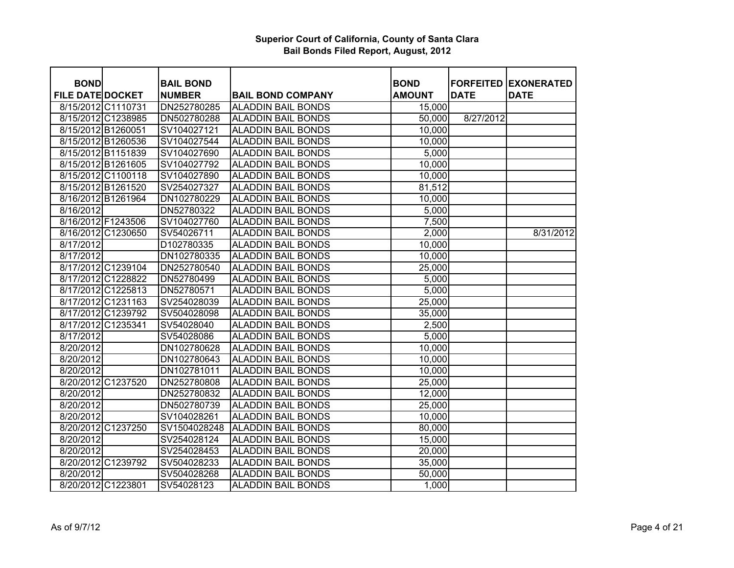| <b>BOND</b>             | <b>BAIL BOND</b> |                           | <b>BOND</b>       |             | <b>FORFEITED EXONERATED</b> |
|-------------------------|------------------|---------------------------|-------------------|-------------|-----------------------------|
| <b>FILE DATE DOCKET</b> | <b>NUMBER</b>    | <b>BAIL BOND COMPANY</b>  | <b>AMOUNT</b>     | <b>DATE</b> | <b>DATE</b>                 |
| 8/15/2012 C1110731      | DN252780285      | <b>ALADDIN BAIL BONDS</b> | 15,000            |             |                             |
| 8/15/2012 C1238985      | DN502780288      | <b>ALADDIN BAIL BONDS</b> | 50,000            | 8/27/2012   |                             |
| 8/15/2012 B1260051      | SV104027121      | <b>ALADDIN BAIL BONDS</b> | 10,000            |             |                             |
| 8/15/2012 B1260536      | SV104027544      | <b>ALADDIN BAIL BONDS</b> | 10,000            |             |                             |
| 8/15/2012 B1151839      | SV104027690      | <b>ALADDIN BAIL BONDS</b> | $\frac{1}{5,000}$ |             |                             |
| 8/15/2012 B1261605      | SV104027792      | <b>ALADDIN BAIL BONDS</b> | 10,000            |             |                             |
| 8/15/2012 C1100118      | SV104027890      | <b>ALADDIN BAIL BONDS</b> | 10,000            |             |                             |
| 8/15/2012 B1261520      | SV254027327      | <b>ALADDIN BAIL BONDS</b> | 81,512            |             |                             |
| 8/16/2012 B1261964      | DN102780229      | <b>ALADDIN BAIL BONDS</b> | 10,000            |             |                             |
| 8/16/2012               | DN52780322       | <b>ALADDIN BAIL BONDS</b> | 5,000             |             |                             |
| 8/16/2012 F1243506      | SV104027760      | <b>ALADDIN BAIL BONDS</b> | 7,500             |             |                             |
| 8/16/2012 C1230650      | SV54026711       | <b>ALADDIN BAIL BONDS</b> | 2,000             |             | 8/31/2012                   |
| 8/17/2012               | D102780335       | <b>ALADDIN BAIL BONDS</b> | 10,000            |             |                             |
| 8/17/2012               | DN102780335      | <b>ALADDIN BAIL BONDS</b> | 10,000            |             |                             |
| 8/17/2012 C1239104      | DN252780540      | <b>ALADDIN BAIL BONDS</b> | 25,000            |             |                             |
| 8/17/2012 C1228822      | DN52780499       | <b>ALADDIN BAIL BONDS</b> | 5,000             |             |                             |
| 8/17/2012 C1225813      | DN52780571       | <b>ALADDIN BAIL BONDS</b> | 5,000             |             |                             |
| 8/17/2012 C1231163      | SV254028039      | <b>ALADDIN BAIL BONDS</b> | 25,000            |             |                             |
| 8/17/2012 C1239792      | SV504028098      | <b>ALADDIN BAIL BONDS</b> | 35,000            |             |                             |
| 8/17/2012 C1235341      | SV54028040       | <b>ALADDIN BAIL BONDS</b> | 2,500             |             |                             |
| 8/17/2012               | SV54028086       | <b>ALADDIN BAIL BONDS</b> | 5,000             |             |                             |
| 8/20/2012               | DN102780628      | <b>ALADDIN BAIL BONDS</b> | 10,000            |             |                             |
| 8/20/2012               | DN102780643      | <b>ALADDIN BAIL BONDS</b> | 10,000            |             |                             |
| 8/20/2012               | DN102781011      | <b>ALADDIN BAIL BONDS</b> | 10,000            |             |                             |
| 8/20/2012 C1237520      | DN252780808      | <b>ALADDIN BAIL BONDS</b> | 25,000            |             |                             |
| 8/20/2012               | DN252780832      | <b>ALADDIN BAIL BONDS</b> | 12,000            |             |                             |
| 8/20/2012               | DN502780739      | <b>ALADDIN BAIL BONDS</b> | 25,000            |             |                             |
| 8/20/2012               | SV104028261      | <b>ALADDIN BAIL BONDS</b> | 10,000            |             |                             |
| 8/20/2012 C1237250      | SV1504028248     | <b>ALADDIN BAIL BONDS</b> | 80,000            |             |                             |
| 8/20/2012               | SV254028124      | <b>ALADDIN BAIL BONDS</b> | 15,000            |             |                             |
| 8/20/2012               | SV254028453      | <b>ALADDIN BAIL BONDS</b> | 20,000            |             |                             |
| 8/20/2012 C1239792      | SV504028233      | <b>ALADDIN BAIL BONDS</b> | 35,000            |             |                             |
| 8/20/2012               | SV504028268      | <b>ALADDIN BAIL BONDS</b> | 50,000            |             |                             |
| 8/20/2012 C1223801      | SV54028123       | <b>ALADDIN BAIL BONDS</b> | 1,000             |             |                             |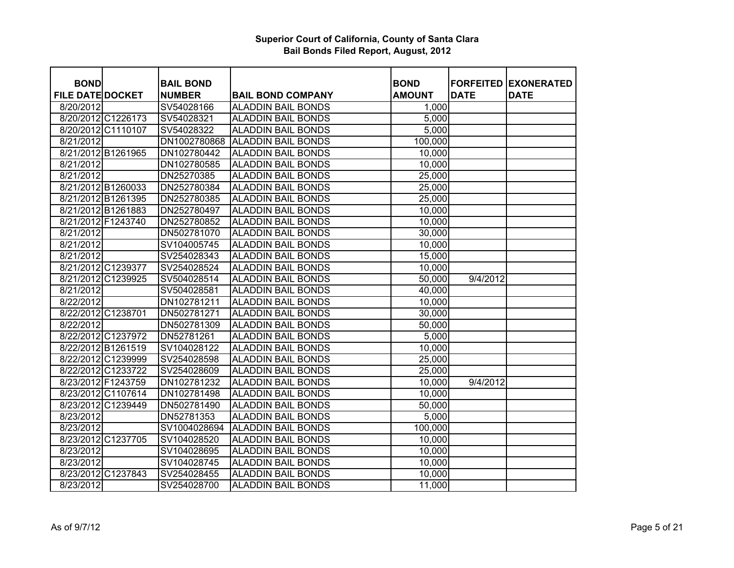| <b>BOND</b>             |                    | <b>BAIL BOND</b> |                           | <b>BOND</b>   |             | <b>FORFEITED EXONERATED</b> |
|-------------------------|--------------------|------------------|---------------------------|---------------|-------------|-----------------------------|
| <b>FILE DATE DOCKET</b> |                    | <b>NUMBER</b>    | <b>BAIL BOND COMPANY</b>  | <b>AMOUNT</b> | <b>DATE</b> | <b>DATE</b>                 |
| 8/20/2012               |                    | SV54028166       | <b>ALADDIN BAIL BONDS</b> | 1,000         |             |                             |
|                         | 8/20/2012 C1226173 | SV54028321       | <b>ALADDIN BAIL BONDS</b> | 5,000         |             |                             |
|                         | 8/20/2012 C1110107 | SV54028322       | <b>ALADDIN BAIL BONDS</b> | 5,000         |             |                             |
| 8/21/2012               |                    | DN1002780868     | <b>ALADDIN BAIL BONDS</b> | 100,000       |             |                             |
|                         | 8/21/2012 B1261965 | DN102780442      | <b>ALADDIN BAIL BONDS</b> | 10,000        |             |                             |
| 8/21/2012               |                    | DN102780585      | <b>ALADDIN BAIL BONDS</b> | 10,000        |             |                             |
| 8/21/2012               |                    | DN25270385       | <b>ALADDIN BAIL BONDS</b> | 25,000        |             |                             |
|                         | 8/21/2012 B1260033 | DN252780384      | <b>ALADDIN BAIL BONDS</b> | 25,000        |             |                             |
|                         | 8/21/2012 B1261395 | DN252780385      | <b>ALADDIN BAIL BONDS</b> | 25,000        |             |                             |
|                         | 8/21/2012 B1261883 | DN252780497      | <b>ALADDIN BAIL BONDS</b> | 10,000        |             |                             |
|                         | 8/21/2012 F1243740 | DN252780852      | <b>ALADDIN BAIL BONDS</b> | 10,000        |             |                             |
| 8/21/2012               |                    | DN502781070      | <b>ALADDIN BAIL BONDS</b> | 30,000        |             |                             |
| 8/21/2012               |                    | SV104005745      | <b>ALADDIN BAIL BONDS</b> | 10,000        |             |                             |
| 8/21/2012               |                    | SV254028343      | <b>ALADDIN BAIL BONDS</b> | 15,000        |             |                             |
|                         | 8/21/2012 C1239377 | SV254028524      | <b>ALADDIN BAIL BONDS</b> | 10,000        |             |                             |
|                         | 8/21/2012 C1239925 | SV504028514      | <b>ALADDIN BAIL BONDS</b> | 50,000        | 9/4/2012    |                             |
| 8/21/2012               |                    | SV504028581      | <b>ALADDIN BAIL BONDS</b> | 40,000        |             |                             |
| 8/22/2012               |                    | DN102781211      | <b>ALADDIN BAIL BONDS</b> | 10,000        |             |                             |
| 8/22/2012 C1238701      |                    | DN502781271      | <b>ALADDIN BAIL BONDS</b> | 30,000        |             |                             |
| 8/22/2012               |                    | DN502781309      | <b>ALADDIN BAIL BONDS</b> | 50,000        |             |                             |
|                         | 8/22/2012 C1237972 | DN52781261       | <b>ALADDIN BAIL BONDS</b> | 5,000         |             |                             |
|                         | 8/22/2012 B1261519 | SV104028122      | <b>ALADDIN BAIL BONDS</b> | 10,000        |             |                             |
|                         | 8/22/2012 C1239999 | SV254028598      | <b>ALADDIN BAIL BONDS</b> | 25,000        |             |                             |
|                         | 8/22/2012 C1233722 | SV254028609      | <b>ALADDIN BAIL BONDS</b> | 25,000        |             |                             |
|                         | 8/23/2012 F1243759 | DN102781232      | <b>ALADDIN BAIL BONDS</b> | 10,000        | 9/4/2012    |                             |
|                         | 8/23/2012 C1107614 | DN102781498      | <b>ALADDIN BAIL BONDS</b> | 10,000        |             |                             |
|                         | 8/23/2012 C1239449 | DN502781490      | <b>ALADDIN BAIL BONDS</b> | 50,000        |             |                             |
| 8/23/2012               |                    | DN52781353       | <b>ALADDIN BAIL BONDS</b> | 5,000         |             |                             |
| 8/23/2012               |                    | SV1004028694     | <b>ALADDIN BAIL BONDS</b> | 100,000       |             |                             |
|                         | 8/23/2012 C1237705 | SV104028520      | <b>ALADDIN BAIL BONDS</b> | 10,000        |             |                             |
| 8/23/2012               |                    | SV104028695      | <b>ALADDIN BAIL BONDS</b> | 10,000        |             |                             |
| 8/23/2012               |                    | SV104028745      | <b>ALADDIN BAIL BONDS</b> | 10,000        |             |                             |
|                         | 8/23/2012 C1237843 | SV254028455      | <b>ALADDIN BAIL BONDS</b> | 10,000        |             |                             |
| 8/23/2012               |                    | SV254028700      | <b>ALADDIN BAIL BONDS</b> | 11,000        |             |                             |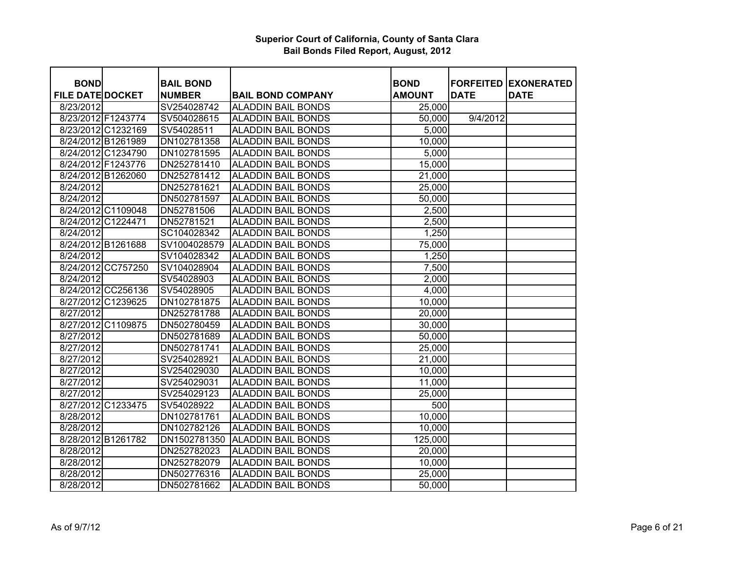| <b>BOND</b>             |                    | <b>BAIL BOND</b> |                           | <b>BOND</b>   |             | <b>FORFEITED EXONERATED</b> |
|-------------------------|--------------------|------------------|---------------------------|---------------|-------------|-----------------------------|
| <b>FILE DATE DOCKET</b> |                    | <b>NUMBER</b>    | <b>BAIL BOND COMPANY</b>  | <b>AMOUNT</b> | <b>DATE</b> | <b>DATE</b>                 |
| 8/23/2012               |                    | SV254028742      | <b>ALADDIN BAIL BONDS</b> | 25,000        |             |                             |
| 8/23/2012 F1243774      |                    | SV504028615      | <b>ALADDIN BAIL BONDS</b> | 50,000        | 9/4/2012    |                             |
|                         | 8/23/2012 C1232169 | SV54028511       | <b>ALADDIN BAIL BONDS</b> | 5,000         |             |                             |
|                         | 8/24/2012 B1261989 | DN102781358      | <b>ALADDIN BAIL BONDS</b> | 10,000        |             |                             |
|                         | 8/24/2012 C1234790 | DN102781595      | <b>ALADDIN BAIL BONDS</b> | 5,000         |             |                             |
| 8/24/2012 F1243776      |                    | DN252781410      | <b>ALADDIN BAIL BONDS</b> | 15,000        |             |                             |
|                         | 8/24/2012 B1262060 | DN252781412      | <b>ALADDIN BAIL BONDS</b> | 21,000        |             |                             |
| 8/24/2012               |                    | DN252781621      | <b>ALADDIN BAIL BONDS</b> | 25,000        |             |                             |
| 8/24/2012               |                    | DN502781597      | <b>ALADDIN BAIL BONDS</b> | 50,000        |             |                             |
|                         | 8/24/2012 C1109048 | DN52781506       | <b>ALADDIN BAIL BONDS</b> | 2,500         |             |                             |
| 8/24/2012 C1224471      |                    | DN52781521       | <b>ALADDIN BAIL BONDS</b> | 2,500         |             |                             |
| 8/24/2012               |                    | SC104028342      | <b>ALADDIN BAIL BONDS</b> | 1,250         |             |                             |
|                         | 8/24/2012 B1261688 | SV1004028579     | <b>ALADDIN BAIL BONDS</b> | 75,000        |             |                             |
| 8/24/2012               |                    | SV104028342      | <b>ALADDIN BAIL BONDS</b> | 1,250         |             |                             |
|                         | 8/24/2012 CC757250 | SV104028904      | <b>ALADDIN BAIL BONDS</b> | 7,500         |             |                             |
| 8/24/2012               |                    | SV54028903       | <b>ALADDIN BAIL BONDS</b> | 2,000         |             |                             |
|                         | 8/24/2012 CC256136 | SV54028905       | <b>ALADDIN BAIL BONDS</b> | 4,000         |             |                             |
|                         | 8/27/2012 C1239625 | DN102781875      | <b>ALADDIN BAIL BONDS</b> | 10,000        |             |                             |
| 8/27/2012               |                    | DN252781788      | <b>ALADDIN BAIL BONDS</b> | 20,000        |             |                             |
|                         | 8/27/2012 C1109875 | DN502780459      | <b>ALADDIN BAIL BONDS</b> | 30,000        |             |                             |
| 8/27/2012               |                    | DN502781689      | <b>ALADDIN BAIL BONDS</b> | 50,000        |             |                             |
| 8/27/2012               |                    | DN502781741      | <b>ALADDIN BAIL BONDS</b> | 25,000        |             |                             |
| 8/27/2012               |                    | SV254028921      | <b>ALADDIN BAIL BONDS</b> | 21,000        |             |                             |
| 8/27/2012               |                    | SV254029030      | <b>ALADDIN BAIL BONDS</b> | 10,000        |             |                             |
| 8/27/2012               |                    | SV254029031      | <b>ALADDIN BAIL BONDS</b> | 11,000        |             |                             |
| 8/27/2012               |                    | SV254029123      | <b>ALADDIN BAIL BONDS</b> | 25,000        |             |                             |
|                         | 8/27/2012 C1233475 | SV54028922       | <b>ALADDIN BAIL BONDS</b> | 500           |             |                             |
| 8/28/2012               |                    | DN102781761      | <b>ALADDIN BAIL BONDS</b> | 10,000        |             |                             |
| 8/28/2012               |                    | DN102782126      | <b>ALADDIN BAIL BONDS</b> | 10,000        |             |                             |
| 8/28/2012 B1261782      |                    | DN1502781350     | <b>ALADDIN BAIL BONDS</b> | 125,000       |             |                             |
| 8/28/2012               |                    | DN252782023      | <b>ALADDIN BAIL BONDS</b> | 20,000        |             |                             |
| 8/28/2012               |                    | DN252782079      | <b>ALADDIN BAIL BONDS</b> | 10,000        |             |                             |
| 8/28/2012               |                    | DN502776316      | <b>ALADDIN BAIL BONDS</b> | 25,000        |             |                             |
| 8/28/2012               |                    | DN502781662      | <b>ALADDIN BAIL BONDS</b> | 50,000        |             |                             |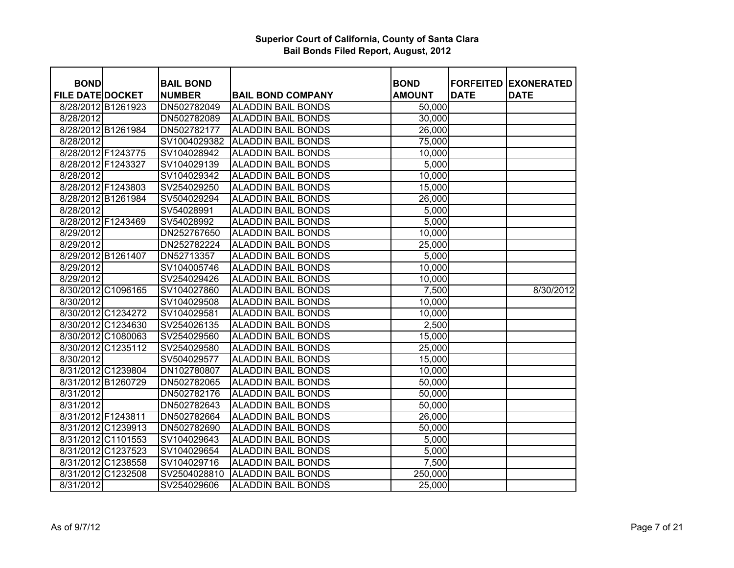| <b>BOND</b>             |                    | <b>BAIL BOND</b> |                           | <b>BOND</b>   | <b>FORFEITED</b> | <b>EXONERATED</b> |
|-------------------------|--------------------|------------------|---------------------------|---------------|------------------|-------------------|
| <b>FILE DATE DOCKET</b> |                    | <b>NUMBER</b>    | <b>BAIL BOND COMPANY</b>  | <b>AMOUNT</b> | <b>DATE</b>      | <b>DATE</b>       |
|                         | 8/28/2012 B1261923 | DN502782049      | <b>ALADDIN BAIL BONDS</b> | 50,000        |                  |                   |
| 8/28/2012               |                    | DN502782089      | <b>ALADDIN BAIL BONDS</b> | 30,000        |                  |                   |
| 8/28/2012 B1261984      |                    | DN502782177      | <b>ALADDIN BAIL BONDS</b> | 26,000        |                  |                   |
| 8/28/2012               |                    | SV1004029382     | <b>ALADDIN BAIL BONDS</b> | 75,000        |                  |                   |
| 8/28/2012 F1243775      |                    | SV104028942      | <b>ALADDIN BAIL BONDS</b> | 10,000        |                  |                   |
| 8/28/2012 F1243327      |                    | SV104029139      | <b>ALADDIN BAIL BONDS</b> | 5,000         |                  |                   |
| 8/28/2012               |                    | SV104029342      | <b>ALADDIN BAIL BONDS</b> | 10,000        |                  |                   |
| 8/28/2012 F1243803      |                    | SV254029250      | <b>ALADDIN BAIL BONDS</b> | 15,000        |                  |                   |
| 8/28/2012 B1261984      |                    | SV504029294      | <b>ALADDIN BAIL BONDS</b> | 26,000        |                  |                   |
| 8/28/2012               |                    | SV54028991       | <b>ALADDIN BAIL BONDS</b> | 5,000         |                  |                   |
| 8/28/2012 F1243469      |                    | SV54028992       | <b>ALADDIN BAIL BONDS</b> | 5,000         |                  |                   |
| 8/29/2012               |                    | DN252767650      | <b>ALADDIN BAIL BONDS</b> | 10,000        |                  |                   |
| 8/29/2012               |                    | DN252782224      | <b>ALADDIN BAIL BONDS</b> | 25,000        |                  |                   |
| 8/29/2012 B1261407      |                    | DN52713357       | <b>ALADDIN BAIL BONDS</b> | 5,000         |                  |                   |
| 8/29/2012               |                    | SV104005746      | <b>ALADDIN BAIL BONDS</b> | 10,000        |                  |                   |
| 8/29/2012               |                    | SV254029426      | <b>ALADDIN BAIL BONDS</b> | 10,000        |                  |                   |
|                         | 8/30/2012 C1096165 | SV104027860      | <b>ALADDIN BAIL BONDS</b> | 7,500         |                  | 8/30/2012         |
| 8/30/2012               |                    | SV104029508      | <b>ALADDIN BAIL BONDS</b> | 10,000        |                  |                   |
|                         | 8/30/2012 C1234272 | SV104029581      | <b>ALADDIN BAIL BONDS</b> | 10,000        |                  |                   |
|                         | 8/30/2012 C1234630 | SV254026135      | <b>ALADDIN BAIL BONDS</b> | 2,500         |                  |                   |
|                         | 8/30/2012 C1080063 | SV254029560      | <b>ALADDIN BAIL BONDS</b> | 15,000        |                  |                   |
|                         | 8/30/2012 C1235112 | SV254029580      | <b>ALADDIN BAIL BONDS</b> | 25,000        |                  |                   |
| 8/30/2012               |                    | SV504029577      | <b>ALADDIN BAIL BONDS</b> | 15,000        |                  |                   |
|                         | 8/31/2012 C1239804 | DN102780807      | <b>ALADDIN BAIL BONDS</b> | 10,000        |                  |                   |
| 8/31/2012 B1260729      |                    | DN502782065      | <b>ALADDIN BAIL BONDS</b> | 50,000        |                  |                   |
| 8/31/2012               |                    | DN502782176      | <b>ALADDIN BAIL BONDS</b> | 50,000        |                  |                   |
| 8/31/2012               |                    | DN502782643      | <b>ALADDIN BAIL BONDS</b> | 50,000        |                  |                   |
| 8/31/2012 F1243811      |                    | DN502782664      | <b>ALADDIN BAIL BONDS</b> | 26,000        |                  |                   |
|                         | 8/31/2012 C1239913 | DN502782690      | <b>ALADDIN BAIL BONDS</b> | 50,000        |                  |                   |
|                         | 8/31/2012 C1101553 | SV104029643      | <b>ALADDIN BAIL BONDS</b> | 5,000         |                  |                   |
|                         | 8/31/2012 C1237523 | SV104029654      | <b>ALADDIN BAIL BONDS</b> | 5,000         |                  |                   |
|                         | 8/31/2012 C1238558 | SV104029716      | <b>ALADDIN BAIL BONDS</b> | 7,500         |                  |                   |
|                         | 8/31/2012 C1232508 | SV2504028810     | <b>ALADDIN BAIL BONDS</b> | 250,000       |                  |                   |
| 8/31/2012               |                    | SV254029606      | <b>ALADDIN BAIL BONDS</b> | 25,000        |                  |                   |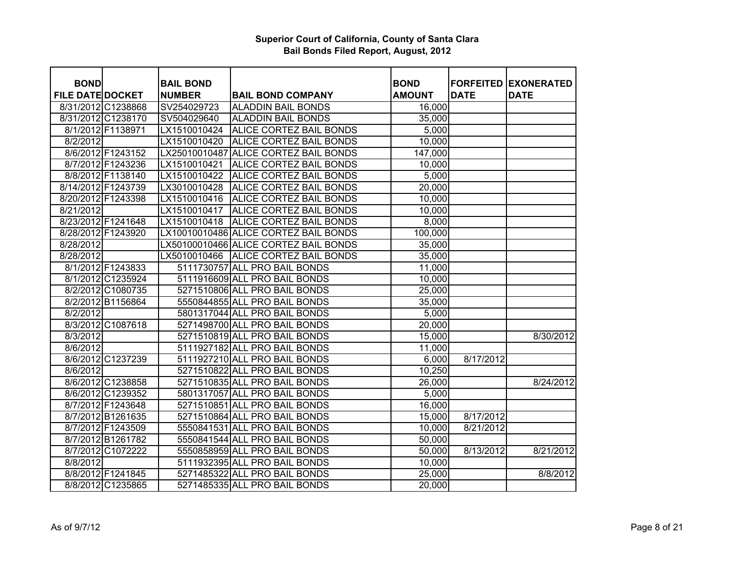| <b>BOND</b>                                   |                   | <b>BAIL BOND</b>             |                                       | <b>BOND</b>   |             | <b>FORFEITED EXONERATED</b> |
|-----------------------------------------------|-------------------|------------------------------|---------------------------------------|---------------|-------------|-----------------------------|
| <b>FILE DATE DOCKET</b><br>8/31/2012 C1238868 |                   | <b>NUMBER</b><br>SV254029723 | <b>BAIL BOND COMPANY</b>              | <b>AMOUNT</b> | <b>DATE</b> | <b>DATE</b>                 |
|                                               |                   |                              | <b>ALADDIN BAIL BONDS</b>             | 16,000        |             |                             |
| 8/31/2012 C1238170                            |                   | SV504029640                  | <b>ALADDIN BAIL BONDS</b>             | 35,000        |             |                             |
|                                               | 8/1/2012 F1138971 | LX1510010424                 | <b>ALICE CORTEZ BAIL BONDS</b>        | 5,000         |             |                             |
| 8/2/2012                                      |                   | LX1510010420                 | <b>ALICE CORTEZ BAIL BONDS</b>        | 10,000        |             |                             |
|                                               | 8/6/2012 F1243152 |                              | LX25010010487 ALICE CORTEZ BAIL BONDS | 147,000       |             |                             |
|                                               | 8/7/2012 F1243236 | LX1510010421                 | ALICE CORTEZ BAIL BONDS               | 10,000        |             |                             |
|                                               | 8/8/2012 F1138140 | LX1510010422                 | ALICE CORTEZ BAIL BONDS               | 5,000         |             |                             |
| 8/14/2012 F1243739                            |                   | LX3010010428                 | ALICE CORTEZ BAIL BONDS               | 20,000        |             |                             |
| 8/20/2012 F1243398                            |                   | LX1510010416                 | ALICE CORTEZ BAIL BONDS               | 10,000        |             |                             |
| 8/21/2012                                     |                   | LX1510010417                 | <b>ALICE CORTEZ BAIL BONDS</b>        | 10,000        |             |                             |
| 8/23/2012 F1241648                            |                   | LX1510010418                 | ALICE CORTEZ BAIL BONDS               | 8,000         |             |                             |
| 8/28/2012 F1243920                            |                   |                              | LX10010010486 ALICE CORTEZ BAIL BONDS | 100,000       |             |                             |
| 8/28/2012                                     |                   |                              | LX50100010466 ALICE CORTEZ BAIL BONDS | 35,000        |             |                             |
| 8/28/2012                                     |                   | LX5010010466                 | <b>ALICE CORTEZ BAIL BONDS</b>        | 35,000        |             |                             |
|                                               | 8/1/2012 F1243833 |                              | 5111730757 ALL PRO BAIL BONDS         | 11,000        |             |                             |
|                                               | 8/1/2012 C1235924 |                              | 5111916609 ALL PRO BAIL BONDS         | 10,000        |             |                             |
|                                               | 8/2/2012 C1080735 |                              | 5271510806 ALL PRO BAIL BONDS         | 25,000        |             |                             |
|                                               | 8/2/2012 B1156864 |                              | 5550844855 ALL PRO BAIL BONDS         | 35,000        |             |                             |
| 8/2/2012                                      |                   |                              | 5801317044 ALL PRO BAIL BONDS         | 5,000         |             |                             |
|                                               | 8/3/2012 C1087618 |                              | 5271498700 ALL PRO BAIL BONDS         | 20,000        |             |                             |
| 8/3/2012                                      |                   |                              | 5271510819 ALL PRO BAIL BONDS         | 15,000        |             | 8/30/2012                   |
| 8/6/2012                                      |                   |                              | 5111927182 ALL PRO BAIL BONDS         | 11,000        |             |                             |
|                                               | 8/6/2012 C1237239 |                              | 5111927210 ALL PRO BAIL BONDS         | 6,000         | 8/17/2012   |                             |
| 8/6/2012                                      |                   |                              | 5271510822 ALL PRO BAIL BONDS         | 10,250        |             |                             |
|                                               | 8/6/2012 C1238858 |                              | 5271510835 ALL PRO BAIL BONDS         | 26,000        |             | 8/24/2012                   |
|                                               | 8/6/2012 C1239352 |                              | 5801317057 ALL PRO BAIL BONDS         | 5,000         |             |                             |
|                                               | 8/7/2012 F1243648 |                              | 5271510851 ALL PRO BAIL BONDS         | 16,000        |             |                             |
|                                               | 8/7/2012 B1261635 |                              | 5271510864 ALL PRO BAIL BONDS         | 15,000        | 8/17/2012   |                             |
|                                               | 8/7/2012 F1243509 |                              | 5550841531 ALL PRO BAIL BONDS         | 10,000        | 8/21/2012   |                             |
|                                               | 8/7/2012 B1261782 |                              | 5550841544 ALL PRO BAIL BONDS         | 50,000        |             |                             |
|                                               | 8/7/2012 C1072222 |                              | 5550858959 ALL PRO BAIL BONDS         | 50,000        | 8/13/2012   | 8/21/2012                   |
| 8/8/2012                                      |                   |                              | 5111932395 ALL PRO BAIL BONDS         | 10,000        |             |                             |
|                                               | 8/8/2012 F1241845 |                              | 5271485322 ALL PRO BAIL BONDS         | 25,000        |             | 8/8/2012                    |
|                                               | 8/8/2012 C1235865 |                              | 5271485335 ALL PRO BAIL BONDS         | 20,000        |             |                             |
|                                               |                   |                              |                                       |               |             |                             |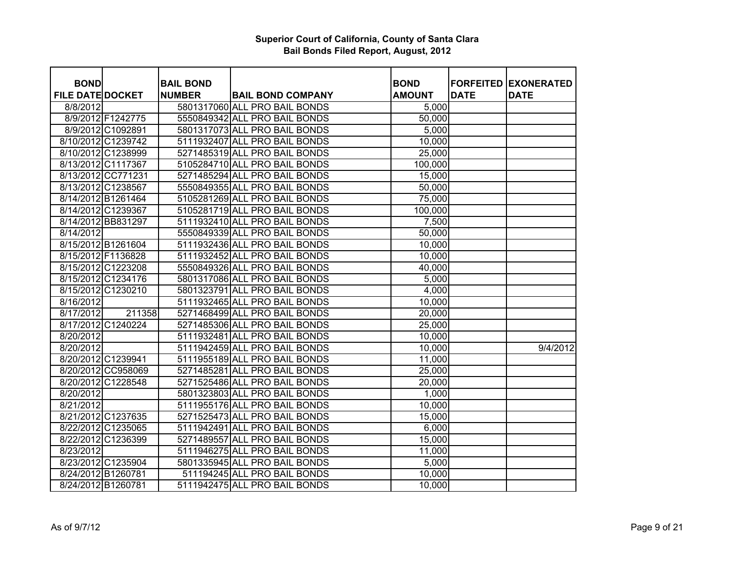| <b>BOND</b>             |                    | <b>BAIL BOND</b> |                               | <b>BOND</b>   |             | <b>FORFEITED EXONERATED</b> |
|-------------------------|--------------------|------------------|-------------------------------|---------------|-------------|-----------------------------|
| <b>FILE DATE DOCKET</b> |                    | <b>NUMBER</b>    | <b>BAIL BOND COMPANY</b>      | <b>AMOUNT</b> | <b>DATE</b> | <b>DATE</b>                 |
| 8/8/2012                |                    |                  | 5801317060 ALL PRO BAIL BONDS | 5,000         |             |                             |
|                         | 8/9/2012 F1242775  |                  | 5550849342 ALL PRO BAIL BONDS | 50,000        |             |                             |
|                         | 8/9/2012 C1092891  |                  | 5801317073 ALL PRO BAIL BONDS | 5,000         |             |                             |
|                         | 8/10/2012 C1239742 |                  | 5111932407 ALL PRO BAIL BONDS | 10,000        |             |                             |
|                         | 8/10/2012 C1238999 |                  | 5271485319 ALL PRO BAIL BONDS | 25,000        |             |                             |
|                         | 8/13/2012 C1117367 |                  | 5105284710 ALL PRO BAIL BONDS | 100,000       |             |                             |
|                         | 8/13/2012 CC771231 |                  | 5271485294 ALL PRO BAIL BONDS | 15,000        |             |                             |
|                         | 8/13/2012 C1238567 |                  | 5550849355 ALL PRO BAIL BONDS | 50,000        |             |                             |
|                         | 8/14/2012 B1261464 |                  | 5105281269 ALL PRO BAIL BONDS | 75,000        |             |                             |
|                         | 8/14/2012 C1239367 |                  | 5105281719 ALL PRO BAIL BONDS | 100,000       |             |                             |
|                         | 8/14/2012 BB831297 |                  | 5111932410 ALL PRO BAIL BONDS | 7,500         |             |                             |
| 8/14/2012               |                    |                  | 5550849339 ALL PRO BAIL BONDS | 50,000        |             |                             |
|                         | 8/15/2012 B1261604 |                  | 5111932436 ALL PRO BAIL BONDS | 10,000        |             |                             |
| 8/15/2012 F1136828      |                    |                  | 5111932452 ALL PRO BAIL BONDS | 10,000        |             |                             |
|                         | 8/15/2012 C1223208 |                  | 5550849326 ALL PRO BAIL BONDS | 40,000        |             |                             |
|                         | 8/15/2012 C1234176 |                  | 5801317086 ALL PRO BAIL BONDS | 5,000         |             |                             |
|                         | 8/15/2012 C1230210 |                  | 5801323791 ALL PRO BAIL BONDS | 4,000         |             |                             |
| 8/16/2012               |                    |                  | 5111932465 ALL PRO BAIL BONDS | 10,000        |             |                             |
| 8/17/2012               | 211358             |                  | 5271468499 ALL PRO BAIL BONDS | 20,000        |             |                             |
|                         | 8/17/2012 C1240224 |                  | 5271485306 ALL PRO BAIL BONDS | 25,000        |             |                             |
| 8/20/2012               |                    |                  | 5111932481 ALL PRO BAIL BONDS | 10,000        |             |                             |
| 8/20/2012               |                    |                  | 5111942459 ALL PRO BAIL BONDS | 10,000        |             | 9/4/2012                    |
|                         | 8/20/2012 C1239941 |                  | 5111955189 ALL PRO BAIL BONDS | 11,000        |             |                             |
|                         | 8/20/2012 CC958069 |                  | 5271485281 ALL PRO BAIL BONDS | 25,000        |             |                             |
|                         | 8/20/2012 C1228548 |                  | 5271525486 ALL PRO BAIL BONDS | 20,000        |             |                             |
| 8/20/2012               |                    |                  | 5801323803 ALL PRO BAIL BONDS | 1,000         |             |                             |
| 8/21/2012               |                    |                  | 5111955176 ALL PRO BAIL BONDS | 10,000        |             |                             |
|                         | 8/21/2012 C1237635 |                  | 5271525473 ALL PRO BAIL BONDS | 15,000        |             |                             |
|                         | 8/22/2012 C1235065 |                  | 5111942491 ALL PRO BAIL BONDS | 6,000         |             |                             |
|                         | 8/22/2012 C1236399 |                  | 5271489557 ALL PRO BAIL BONDS | 15,000        |             |                             |
| 8/23/2012               |                    |                  | 5111946275 ALL PRO BAIL BONDS | 11,000        |             |                             |
|                         | 8/23/2012 C1235904 |                  | 5801335945 ALL PRO BAIL BONDS | 5,000         |             |                             |
| 8/24/2012 B1260781      |                    |                  | 511194245 ALL PRO BAIL BONDS  | 10,000        |             |                             |
| 8/24/2012 B1260781      |                    |                  | 5111942475 ALL PRO BAIL BONDS | 10,000        |             |                             |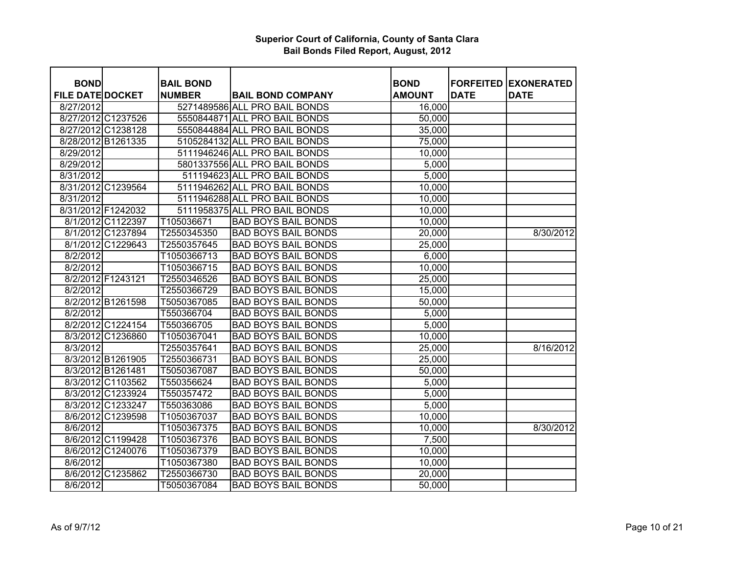| <b>BOND</b>             |                    | <b>BAIL BOND</b> |                               | <b>BOND</b>   | <b>FORFEITED</b> | <b>EXONERATED</b> |
|-------------------------|--------------------|------------------|-------------------------------|---------------|------------------|-------------------|
| <b>FILE DATE DOCKET</b> |                    | <b>NUMBER</b>    | <b>BAIL BOND COMPANY</b>      | <b>AMOUNT</b> | <b>DATE</b>      | <b>DATE</b>       |
| 8/27/2012               |                    |                  | 5271489586 ALL PRO BAIL BONDS | 16,000        |                  |                   |
| 8/27/2012 C1237526      |                    |                  | 5550844871 ALL PRO BAIL BONDS | 50,000        |                  |                   |
|                         | 8/27/2012 C1238128 |                  | 5550844884 ALL PRO BAIL BONDS | 35,000        |                  |                   |
|                         | 8/28/2012 B1261335 |                  | 5105284132 ALL PRO BAIL BONDS | 75,000        |                  |                   |
| 8/29/2012               |                    |                  | 5111946246 ALL PRO BAIL BONDS | 10,000        |                  |                   |
| 8/29/2012               |                    |                  | 5801337556 ALL PRO BAIL BONDS | 5,000         |                  |                   |
| 8/31/2012               |                    |                  | 511194623 ALL PRO BAIL BONDS  | 5,000         |                  |                   |
|                         | 8/31/2012 C1239564 |                  | 5111946262 ALL PRO BAIL BONDS | 10,000        |                  |                   |
| 8/31/2012               |                    |                  | 5111946288 ALL PRO BAIL BONDS | 10,000        |                  |                   |
|                         | 8/31/2012 F1242032 |                  | 5111958375 ALL PRO BAIL BONDS | 10,000        |                  |                   |
|                         | 8/1/2012 C1122397  | T105036671       | <b>BAD BOYS BAIL BONDS</b>    | 10,000        |                  |                   |
|                         | 8/1/2012 C1237894  | T2550345350      | <b>BAD BOYS BAIL BONDS</b>    | 20,000        |                  | 8/30/2012         |
|                         | 8/1/2012 C1229643  | T2550357645      | <b>BAD BOYS BAIL BONDS</b>    | 25,000        |                  |                   |
| 8/2/2012                |                    | T1050366713      | <b>BAD BOYS BAIL BONDS</b>    | 6,000         |                  |                   |
| 8/2/2012                |                    | T1050366715      | <b>BAD BOYS BAIL BONDS</b>    | 10,000        |                  |                   |
|                         | 8/2/2012 F1243121  | T2550346526      | <b>BAD BOYS BAIL BONDS</b>    | 25,000        |                  |                   |
| 8/2/2012                |                    | T2550366729      | <b>BAD BOYS BAIL BONDS</b>    | 15,000        |                  |                   |
|                         | 8/2/2012 B1261598  | T5050367085      | <b>BAD BOYS BAIL BONDS</b>    | 50,000        |                  |                   |
| 8/2/2012                |                    | T550366704       | <b>BAD BOYS BAIL BONDS</b>    | 5,000         |                  |                   |
|                         | 8/2/2012 C1224154  | T550366705       | <b>BAD BOYS BAIL BONDS</b>    | 5,000         |                  |                   |
|                         | 8/3/2012 C1236860  | T1050367041      | <b>BAD BOYS BAIL BONDS</b>    | 10,000        |                  |                   |
| 8/3/2012                |                    | T2550357641      | <b>BAD BOYS BAIL BONDS</b>    | 25,000        |                  | 8/16/2012         |
|                         | 8/3/2012 B1261905  | T2550366731      | <b>BAD BOYS BAIL BONDS</b>    | 25,000        |                  |                   |
|                         | 8/3/2012 B1261481  | T5050367087      | <b>BAD BOYS BAIL BONDS</b>    | 50,000        |                  |                   |
|                         | 8/3/2012 C1103562  | T550356624       | <b>BAD BOYS BAIL BONDS</b>    | 5,000         |                  |                   |
|                         | 8/3/2012 C1233924  | T550357472       | <b>BAD BOYS BAIL BONDS</b>    | 5,000         |                  |                   |
|                         | 8/3/2012 C1233247  | T550363086       | <b>BAD BOYS BAIL BONDS</b>    | 5,000         |                  |                   |
|                         | 8/6/2012 C1239598  | T1050367037      | <b>BAD BOYS BAIL BONDS</b>    | 10,000        |                  |                   |
| 8/6/2012                |                    | T1050367375      | <b>BAD BOYS BAIL BONDS</b>    | 10,000        |                  | 8/30/2012         |
|                         | 8/6/2012 C1199428  | T1050367376      | <b>BAD BOYS BAIL BONDS</b>    | 7,500         |                  |                   |
|                         | 8/6/2012 C1240076  | T1050367379      | <b>BAD BOYS BAIL BONDS</b>    | 10,000        |                  |                   |
| 8/6/2012                |                    | T1050367380      | <b>BAD BOYS BAIL BONDS</b>    | 10,000        |                  |                   |
|                         | 8/6/2012 C1235862  | T2550366730      | <b>BAD BOYS BAIL BONDS</b>    | 20,000        |                  |                   |
| 8/6/2012                |                    | T5050367084      | <b>BAD BOYS BAIL BONDS</b>    | 50,000        |                  |                   |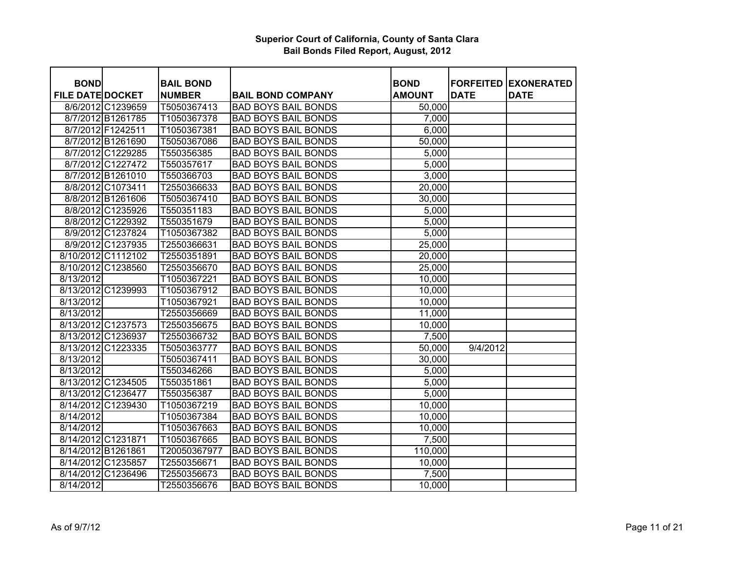| <b>BOND</b>             |                    | <b>BAIL BOND</b> |                            | <b>BOND</b>   | <b>FORFEITED</b> | <b>EXONERATED</b> |
|-------------------------|--------------------|------------------|----------------------------|---------------|------------------|-------------------|
| <b>FILE DATE DOCKET</b> |                    | <b>NUMBER</b>    | <b>BAIL BOND COMPANY</b>   | <b>AMOUNT</b> | <b>DATE</b>      | <b>DATE</b>       |
|                         | 8/6/2012 C1239659  | T5050367413      | <b>BAD BOYS BAIL BONDS</b> | 50,000        |                  |                   |
|                         | 8/7/2012 B1261785  | T1050367378      | <b>BAD BOYS BAIL BONDS</b> | 7,000         |                  |                   |
|                         | 8/7/2012 F1242511  | T1050367381      | <b>BAD BOYS BAIL BONDS</b> | 6,000         |                  |                   |
|                         | 8/7/2012 B1261690  | T5050367086      | <b>BAD BOYS BAIL BONDS</b> | 50,000        |                  |                   |
|                         | 8/7/2012 C1229285  | T550356385       | <b>BAD BOYS BAIL BONDS</b> | 5,000         |                  |                   |
|                         | 8/7/2012 C1227472  | T550357617       | <b>BAD BOYS BAIL BONDS</b> | 5,000         |                  |                   |
|                         | 8/7/2012 B1261010  | T550366703       | <b>BAD BOYS BAIL BONDS</b> | 3,000         |                  |                   |
|                         | 8/8/2012 C1073411  | T2550366633      | <b>BAD BOYS BAIL BONDS</b> | 20,000        |                  |                   |
|                         | 8/8/2012 B1261606  | T5050367410      | <b>BAD BOYS BAIL BONDS</b> | 30,000        |                  |                   |
|                         | 8/8/2012 C1235926  | T550351183       | <b>BAD BOYS BAIL BONDS</b> | 5,000         |                  |                   |
|                         | 8/8/2012 C1229392  | T550351679       | <b>BAD BOYS BAIL BONDS</b> | 5,000         |                  |                   |
|                         | 8/9/2012 C1237824  | T1050367382      | <b>BAD BOYS BAIL BONDS</b> | 5,000         |                  |                   |
|                         | 8/9/2012 C1237935  | T2550366631      | <b>BAD BOYS BAIL BONDS</b> | 25,000        |                  |                   |
|                         | 8/10/2012 C1112102 | T2550351891      | <b>BAD BOYS BAIL BONDS</b> | 20,000        |                  |                   |
|                         | 8/10/2012 C1238560 | T2550356670      | <b>BAD BOYS BAIL BONDS</b> | 25,000        |                  |                   |
| 8/13/2012               |                    | T1050367221      | <b>BAD BOYS BAIL BONDS</b> | 10,000        |                  |                   |
|                         | 8/13/2012 C1239993 | T1050367912      | <b>BAD BOYS BAIL BONDS</b> | 10,000        |                  |                   |
| 8/13/2012               |                    | T1050367921      | <b>BAD BOYS BAIL BONDS</b> | 10,000        |                  |                   |
| 8/13/2012               |                    | T2550356669      | <b>BAD BOYS BAIL BONDS</b> | 11,000        |                  |                   |
|                         | 8/13/2012 C1237573 | T2550356675      | <b>BAD BOYS BAIL BONDS</b> | 10,000        |                  |                   |
|                         | 8/13/2012 C1236937 | T2550366732      | <b>BAD BOYS BAIL BONDS</b> | 7,500         |                  |                   |
| 8/13/2012 C1223335      |                    | T5050363777      | <b>BAD BOYS BAIL BONDS</b> | 50,000        | 9/4/2012         |                   |
| 8/13/2012               |                    | T5050367411      | <b>BAD BOYS BAIL BONDS</b> | 30,000        |                  |                   |
| 8/13/2012               |                    | T550346266       | <b>BAD BOYS BAIL BONDS</b> | 5,000         |                  |                   |
|                         | 8/13/2012 C1234505 | T550351861       | <b>BAD BOYS BAIL BONDS</b> | 5,000         |                  |                   |
|                         | 8/13/2012 C1236477 | T550356387       | <b>BAD BOYS BAIL BONDS</b> | 5,000         |                  |                   |
|                         | 8/14/2012 C1239430 | T1050367219      | <b>BAD BOYS BAIL BONDS</b> | 10,000        |                  |                   |
| 8/14/2012               |                    | T1050367384      | <b>BAD BOYS BAIL BONDS</b> | 10,000        |                  |                   |
| 8/14/2012               |                    | T1050367663      | <b>BAD BOYS BAIL BONDS</b> | 10,000        |                  |                   |
| 8/14/2012 C1231871      |                    | T1050367665      | <b>BAD BOYS BAIL BONDS</b> | 7,500         |                  |                   |
| 8/14/2012 B1261861      |                    | T20050367977     | <b>BAD BOYS BAIL BONDS</b> | 110,000       |                  |                   |
| 8/14/2012 C1235857      |                    | T2550356671      | <b>BAD BOYS BAIL BONDS</b> | 10,000        |                  |                   |
| 8/14/2012 C1236496      |                    | T2550356673      | <b>BAD BOYS BAIL BONDS</b> | 7,500         |                  |                   |
| 8/14/2012               |                    | T2550356676      | <b>BAD BOYS BAIL BONDS</b> | 10,000        |                  |                   |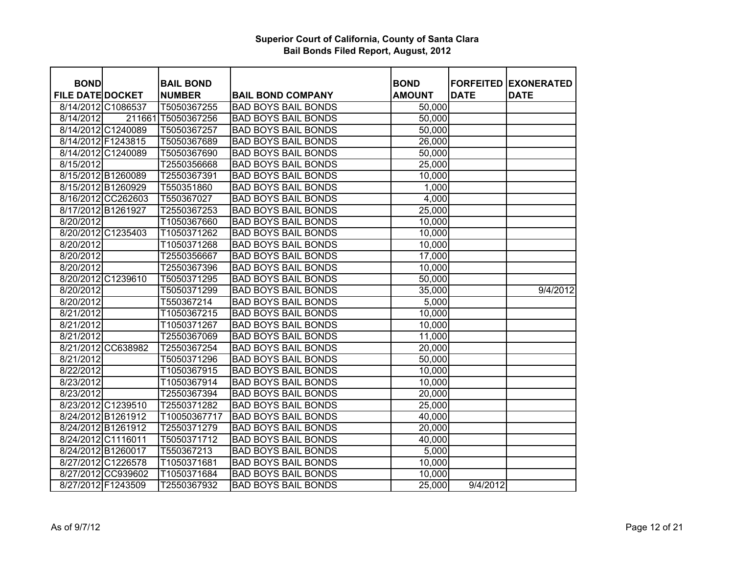| <b>BOND</b>             |                    | <b>BAIL BOND</b>   |                            | <b>BOND</b>         | <b>FORFEITED</b> | <b>EXONERATED</b> |
|-------------------------|--------------------|--------------------|----------------------------|---------------------|------------------|-------------------|
| <b>FILE DATE DOCKET</b> |                    | <b>NUMBER</b>      | <b>BAIL BOND COMPANY</b>   | <b>AMOUNT</b>       | <b>DATE</b>      | <b>DATE</b>       |
|                         | 8/14/2012 C1086537 | T5050367255        | <b>BAD BOYS BAIL BONDS</b> | 50,000              |                  |                   |
| 8/14/2012               |                    | 211661 T5050367256 | <b>BAD BOYS BAIL BONDS</b> | $\overline{50,000}$ |                  |                   |
|                         | 8/14/2012 C1240089 | T5050367257        | <b>BAD BOYS BAIL BONDS</b> | 50,000              |                  |                   |
|                         | 8/14/2012 F1243815 | T5050367689        | <b>BAD BOYS BAIL BONDS</b> | 26,000              |                  |                   |
|                         | 8/14/2012 C1240089 | T5050367690        | <b>BAD BOYS BAIL BONDS</b> | 50,000              |                  |                   |
| 8/15/2012               |                    |                    | <b>BAD BOYS BAIL BONDS</b> | 25,000              |                  |                   |
|                         |                    | T2550356668        |                            |                     |                  |                   |
|                         | 8/15/2012 B1260089 | T2550367391        | <b>BAD BOYS BAIL BONDS</b> | 10,000              |                  |                   |
|                         | 8/15/2012 B1260929 | T550351860         | <b>BAD BOYS BAIL BONDS</b> | 1,000               |                  |                   |
|                         | 8/16/2012 CC262603 | T550367027         | <b>BAD BOYS BAIL BONDS</b> | 4,000               |                  |                   |
|                         | 8/17/2012 B1261927 | T2550367253        | <b>BAD BOYS BAIL BONDS</b> | 25,000              |                  |                   |
| 8/20/2012               |                    | T1050367660        | <b>BAD BOYS BAIL BONDS</b> | 10,000              |                  |                   |
|                         | 8/20/2012 C1235403 | T1050371262        | <b>BAD BOYS BAIL BONDS</b> | 10,000              |                  |                   |
| 8/20/2012               |                    | T1050371268        | <b>BAD BOYS BAIL BONDS</b> | 10,000              |                  |                   |
| 8/20/2012               |                    | T2550356667        | <b>BAD BOYS BAIL BONDS</b> | 17,000              |                  |                   |
| 8/20/2012               |                    | T2550367396        | <b>BAD BOYS BAIL BONDS</b> | 10,000              |                  |                   |
|                         | 8/20/2012 C1239610 | T5050371295        | <b>BAD BOYS BAIL BONDS</b> | 50,000              |                  |                   |
| 8/20/2012               |                    | T5050371299        | <b>BAD BOYS BAIL BONDS</b> | 35,000              |                  | 9/4/2012          |
| 8/20/2012               |                    | T550367214         | <b>BAD BOYS BAIL BONDS</b> | 5,000               |                  |                   |
| 8/21/2012               |                    | T1050367215        | <b>BAD BOYS BAIL BONDS</b> | 10,000              |                  |                   |
| 8/21/2012               |                    | T1050371267        | <b>BAD BOYS BAIL BONDS</b> | 10,000              |                  |                   |
| 8/21/2012               |                    | T2550367069        | <b>BAD BOYS BAIL BONDS</b> | 11,000              |                  |                   |
|                         | 8/21/2012 CC638982 | T2550367254        | <b>BAD BOYS BAIL BONDS</b> | 20,000              |                  |                   |
| 8/21/2012               |                    | T5050371296        | <b>BAD BOYS BAIL BONDS</b> | 50,000              |                  |                   |
| 8/22/2012               |                    | T1050367915        | <b>BAD BOYS BAIL BONDS</b> | 10,000              |                  |                   |
| 8/23/2012               |                    | T1050367914        | <b>BAD BOYS BAIL BONDS</b> | 10,000              |                  |                   |
| 8/23/2012               |                    | T2550367394        | <b>BAD BOYS BAIL BONDS</b> | 20,000              |                  |                   |
|                         | 8/23/2012 C1239510 | T2550371282        | <b>BAD BOYS BAIL BONDS</b> | 25,000              |                  |                   |
|                         | 8/24/2012 B1261912 | T10050367717       | <b>BAD BOYS BAIL BONDS</b> | 40,000              |                  |                   |
|                         | 8/24/2012 B1261912 | T2550371279        | <b>BAD BOYS BAIL BONDS</b> | 20,000              |                  |                   |
|                         | 8/24/2012 C1116011 | T5050371712        | <b>BAD BOYS BAIL BONDS</b> | 40,000              |                  |                   |
|                         | 8/24/2012 B1260017 | T550367213         | <b>BAD BOYS BAIL BONDS</b> | 5,000               |                  |                   |
|                         | 8/27/2012 C1226578 | T1050371681        | <b>BAD BOYS BAIL BONDS</b> | 10,000              |                  |                   |
|                         | 8/27/2012 CC939602 | T1050371684        | <b>BAD BOYS BAIL BONDS</b> | 10,000              |                  |                   |
|                         | 8/27/2012 F1243509 | T2550367932        | <b>BAD BOYS BAIL BONDS</b> | 25,000              | 9/4/2012         |                   |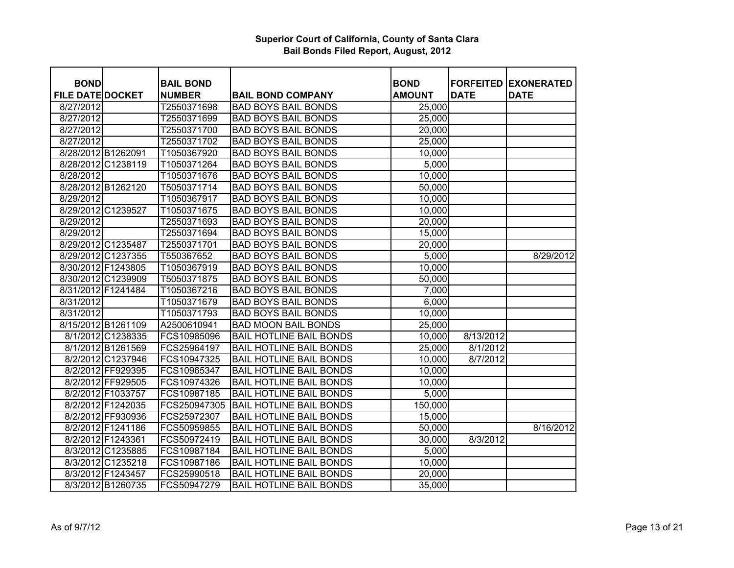| <b>BOND</b>             |                    | <b>BAIL BOND</b> |                                | <b>BOND</b>   | <b>FORFEITED</b> | <b>EXONERATED</b> |
|-------------------------|--------------------|------------------|--------------------------------|---------------|------------------|-------------------|
| <b>FILE DATE DOCKET</b> |                    | <b>NUMBER</b>    | <b>BAIL BOND COMPANY</b>       | <b>AMOUNT</b> | <b>DATE</b>      | <b>DATE</b>       |
| 8/27/2012               |                    | T2550371698      | <b>BAD BOYS BAIL BONDS</b>     | 25,000        |                  |                   |
| 8/27/2012               |                    | T2550371699      | <b>BAD BOYS BAIL BONDS</b>     | 25,000        |                  |                   |
| 8/27/2012               |                    | T2550371700      | <b>BAD BOYS BAIL BONDS</b>     | 20,000        |                  |                   |
| 8/27/2012               |                    | T2550371702      | <b>BAD BOYS BAIL BONDS</b>     | 25,000        |                  |                   |
| 8/28/2012 B1262091      |                    | T1050367920      | <b>BAD BOYS BAIL BONDS</b>     | 10,000        |                  |                   |
|                         | 8/28/2012 C1238119 | T1050371264      | <b>BAD BOYS BAIL BONDS</b>     | 5,000         |                  |                   |
| 8/28/2012               |                    | T1050371676      | <b>BAD BOYS BAIL BONDS</b>     | 10,000        |                  |                   |
|                         | 8/28/2012 B1262120 | T5050371714      | <b>BAD BOYS BAIL BONDS</b>     | 50,000        |                  |                   |
| 8/29/2012               |                    | T1050367917      | <b>BAD BOYS BAIL BONDS</b>     | 10,000        |                  |                   |
| 8/29/2012 C1239527      |                    | T1050371675      | <b>BAD BOYS BAIL BONDS</b>     | 10,000        |                  |                   |
| 8/29/2012               |                    | T2550371693      | <b>BAD BOYS BAIL BONDS</b>     | 20,000        |                  |                   |
| 8/29/2012               |                    | T2550371694      | <b>BAD BOYS BAIL BONDS</b>     | 15,000        |                  |                   |
|                         | 8/29/2012 C1235487 | T2550371701      | <b>BAD BOYS BAIL BONDS</b>     | 20,000        |                  |                   |
|                         | 8/29/2012 C1237355 | T550367652       | <b>BAD BOYS BAIL BONDS</b>     | 5,000         |                  | 8/29/2012         |
|                         | 8/30/2012 F1243805 | T1050367919      | <b>BAD BOYS BAIL BONDS</b>     | 10,000        |                  |                   |
|                         | 8/30/2012 C1239909 | T5050371875      | <b>BAD BOYS BAIL BONDS</b>     | 50,000        |                  |                   |
| 8/31/2012 F1241484      |                    | T1050367216      | <b>BAD BOYS BAIL BONDS</b>     | 7,000         |                  |                   |
| 8/31/2012               |                    | T1050371679      | <b>BAD BOYS BAIL BONDS</b>     | 6,000         |                  |                   |
| 8/31/2012               |                    | T1050371793      | <b>BAD BOYS BAIL BONDS</b>     | 10,000        |                  |                   |
|                         | 8/15/2012 B1261109 | A2500610941      | <b>BAD MOON BAIL BONDS</b>     | 25,000        |                  |                   |
|                         | 8/1/2012 C1238335  | FCS10985096      | <b>BAIL HOTLINE BAIL BONDS</b> | 10,000        | 8/13/2012        |                   |
|                         | 8/1/2012 B1261569  | FCS25964197      | <b>BAIL HOTLINE BAIL BONDS</b> | 25,000        | 8/1/2012         |                   |
|                         | 8/2/2012 C1237946  | FCS10947325      | <b>BAIL HOTLINE BAIL BONDS</b> | 10,000        | 8/7/2012         |                   |
|                         | 8/2/2012 FF929395  | FCS10965347      | <b>BAIL HOTLINE BAIL BONDS</b> | 10,000        |                  |                   |
|                         | 8/2/2012 FF929505  | FCS10974326      | <b>BAIL HOTLINE BAIL BONDS</b> | 10,000        |                  |                   |
|                         | 8/2/2012 F1033757  | FCS10987185      | <b>BAIL HOTLINE BAIL BONDS</b> | 5,000         |                  |                   |
|                         | 8/2/2012 F1242035  | FCS250947305     | <b>BAIL HOTLINE BAIL BONDS</b> | 150,000       |                  |                   |
|                         | 8/2/2012 FF930936  | FCS25972307      | <b>BAIL HOTLINE BAIL BONDS</b> | 15,000        |                  |                   |
|                         | 8/2/2012 F1241186  | FCS50959855      | <b>BAIL HOTLINE BAIL BONDS</b> | 50,000        |                  | 8/16/2012         |
|                         | 8/2/2012 F1243361  | FCS50972419      | <b>BAIL HOTLINE BAIL BONDS</b> | 30,000        | 8/3/2012         |                   |
|                         | 8/3/2012 C1235885  | FCS10987184      | <b>BAIL HOTLINE BAIL BONDS</b> | 5,000         |                  |                   |
|                         | 8/3/2012 C1235218  | FCS10987186      | <b>BAIL HOTLINE BAIL BONDS</b> | 10,000        |                  |                   |
|                         | 8/3/2012 F1243457  | FCS25990518      | <b>BAIL HOTLINE BAIL BONDS</b> | 20,000        |                  |                   |
|                         | 8/3/2012 B1260735  | FCS50947279      | <b>BAIL HOTLINE BAIL BONDS</b> | 35,000        |                  |                   |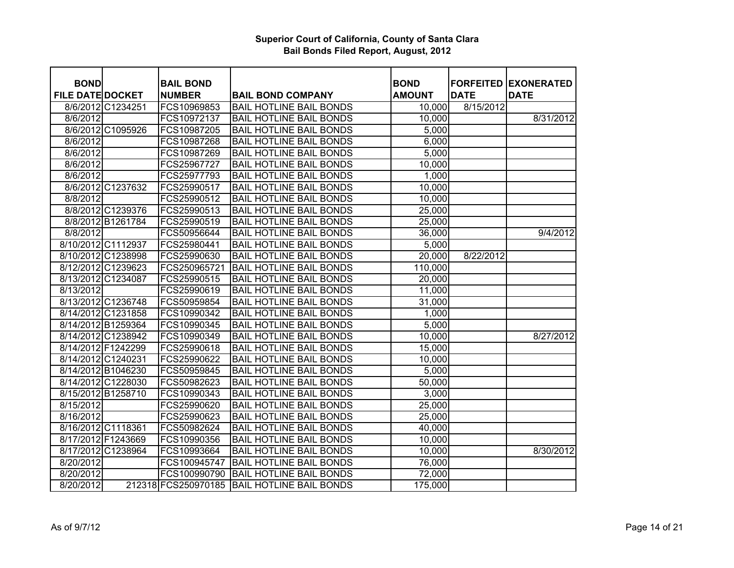| <b>BOND</b>             |                    | <b>BAIL BOND</b>    |                                | <b>BOND</b>   | <b>FORFEITED</b> | <b>EXONERATED</b> |
|-------------------------|--------------------|---------------------|--------------------------------|---------------|------------------|-------------------|
| <b>FILE DATE DOCKET</b> |                    | <b>NUMBER</b>       | <b>BAIL BOND COMPANY</b>       | <b>AMOUNT</b> | <b>DATE</b>      | <b>DATE</b>       |
|                         | 8/6/2012 C1234251  | FCS10969853         | <b>BAIL HOTLINE BAIL BONDS</b> | 10,000        | 8/15/2012        |                   |
| 8/6/2012                |                    | FCS10972137         | <b>BAIL HOTLINE BAIL BONDS</b> | 10,000        |                  | 8/31/2012         |
|                         | 8/6/2012 C1095926  | FCS10987205         | <b>BAIL HOTLINE BAIL BONDS</b> | 5,000         |                  |                   |
| 8/6/2012                |                    | FCS10987268         | <b>BAIL HOTLINE BAIL BONDS</b> | 6,000         |                  |                   |
| 8/6/2012                |                    | FCS10987269         | <b>BAIL HOTLINE BAIL BONDS</b> | 5,000         |                  |                   |
| 8/6/2012                |                    | FCS25967727         | <b>BAIL HOTLINE BAIL BONDS</b> | 10,000        |                  |                   |
| 8/6/2012                |                    | FCS25977793         | <b>BAIL HOTLINE BAIL BONDS</b> | 1,000         |                  |                   |
|                         | 8/6/2012 C1237632  | FCS25990517         | <b>BAIL HOTLINE BAIL BONDS</b> | 10,000        |                  |                   |
| 8/8/2012                |                    | FCS25990512         | <b>BAIL HOTLINE BAIL BONDS</b> | 10,000        |                  |                   |
|                         | 8/8/2012 C1239376  | FCS25990513         | <b>BAIL HOTLINE BAIL BONDS</b> | 25,000        |                  |                   |
|                         | 8/8/2012 B1261784  | FCS25990519         | <b>BAIL HOTLINE BAIL BONDS</b> | 25,000        |                  |                   |
| 8/8/2012                |                    | FCS50956644         | <b>BAIL HOTLINE BAIL BONDS</b> | 36,000        |                  | 9/4/2012          |
|                         | 8/10/2012 C1112937 | FCS25980441         | <b>BAIL HOTLINE BAIL BONDS</b> | 5,000         |                  |                   |
|                         | 8/10/2012 C1238998 | FCS25990630         | <b>BAIL HOTLINE BAIL BONDS</b> | 20,000        | 8/22/2012        |                   |
|                         | 8/12/2012 C1239623 | FCS250965721        | <b>BAIL HOTLINE BAIL BONDS</b> | 110,000       |                  |                   |
|                         | 8/13/2012 C1234087 | FCS25990515         | <b>BAIL HOTLINE BAIL BONDS</b> | 20,000        |                  |                   |
| 8/13/2012               |                    | FCS25990619         | <b>BAIL HOTLINE BAIL BONDS</b> | 11,000        |                  |                   |
|                         | 8/13/2012 C1236748 | FCS50959854         | <b>BAIL HOTLINE BAIL BONDS</b> | 31,000        |                  |                   |
|                         | 8/14/2012 C1231858 | FCS10990342         | <b>BAIL HOTLINE BAIL BONDS</b> | 1,000         |                  |                   |
|                         | 8/14/2012 B1259364 | FCS10990345         | <b>BAIL HOTLINE BAIL BONDS</b> | 5,000         |                  |                   |
|                         | 8/14/2012 C1238942 | FCS10990349         | <b>BAIL HOTLINE BAIL BONDS</b> | 10,000        |                  | 8/27/2012         |
|                         | 8/14/2012 F1242299 | FCS25990618         | <b>BAIL HOTLINE BAIL BONDS</b> | 15,000        |                  |                   |
|                         | 8/14/2012 C1240231 | FCS25990622         | <b>BAIL HOTLINE BAIL BONDS</b> | 10,000        |                  |                   |
|                         | 8/14/2012 B1046230 | FCS50959845         | <b>BAIL HOTLINE BAIL BONDS</b> | 5,000         |                  |                   |
|                         | 8/14/2012 C1228030 | FCS50982623         | <b>BAIL HOTLINE BAIL BONDS</b> | 50,000        |                  |                   |
|                         | 8/15/2012 B1258710 | FCS10990343         | <b>BAIL HOTLINE BAIL BONDS</b> | 3,000         |                  |                   |
| 8/15/2012               |                    | FCS25990620         | <b>BAIL HOTLINE BAIL BONDS</b> | 25,000        |                  |                   |
| 8/16/2012               |                    | FCS25990623         | <b>BAIL HOTLINE BAIL BONDS</b> | 25,000        |                  |                   |
|                         | 8/16/2012 C1118361 | FCS50982624         | <b>BAIL HOTLINE BAIL BONDS</b> | 40,000        |                  |                   |
|                         | 8/17/2012 F1243669 | FCS10990356         | <b>BAIL HOTLINE BAIL BONDS</b> | 10,000        |                  |                   |
|                         | 8/17/2012 C1238964 | FCS10993664         | <b>BAIL HOTLINE BAIL BONDS</b> | 10,000        |                  | 8/30/2012         |
| 8/20/2012               |                    | FCS100945747        | <b>BAIL HOTLINE BAIL BONDS</b> | 76,000        |                  |                   |
| 8/20/2012               |                    | FCS100990790        | <b>BAIL HOTLINE BAIL BONDS</b> | 72,000        |                  |                   |
| 8/20/2012               |                    | 212318 FCS250970185 | <b>BAIL HOTLINE BAIL BONDS</b> | 175,000       |                  |                   |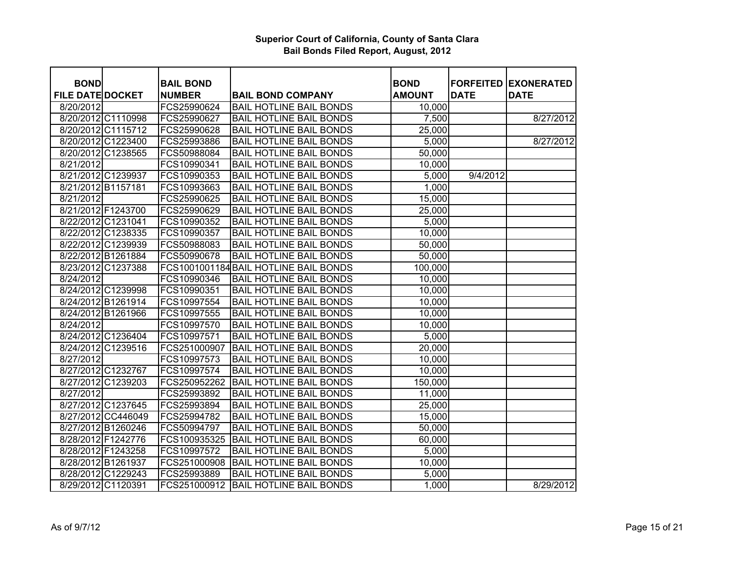| <b>BOND</b>             |                    | <b>BAIL BOND</b> |                                       | <b>BOND</b>   | <b>FORFEITED</b> | <b>EXONERATED</b> |
|-------------------------|--------------------|------------------|---------------------------------------|---------------|------------------|-------------------|
| <b>FILE DATE DOCKET</b> |                    | <b>NUMBER</b>    | <b>BAIL BOND COMPANY</b>              | <b>AMOUNT</b> | <b>DATE</b>      | <b>DATE</b>       |
| 8/20/2012               |                    | FCS25990624      | <b>BAIL HOTLINE BAIL BONDS</b>        | 10,000        |                  |                   |
|                         | 8/20/2012 C1110998 | FCS25990627      | <b>BAIL HOTLINE BAIL BONDS</b>        | 7,500         |                  | 8/27/2012         |
|                         | 8/20/2012 C1115712 | FCS25990628      | <b>BAIL HOTLINE BAIL BONDS</b>        | 25,000        |                  |                   |
|                         | 8/20/2012 C1223400 | FCS25993886      | <b>BAIL HOTLINE BAIL BONDS</b>        | 5,000         |                  | 8/27/2012         |
| 8/20/2012 C1238565      |                    | FCS50988084      | <b>BAIL HOTLINE BAIL BONDS</b>        | 50,000        |                  |                   |
| 8/21/2012               |                    | FCS10990341      | <b>BAIL HOTLINE BAIL BONDS</b>        | 10,000        |                  |                   |
| 8/21/2012 C1239937      |                    | FCS10990353      | <b>BAIL HOTLINE BAIL BONDS</b>        | 5,000         | 9/4/2012         |                   |
| 8/21/2012 B1157181      |                    | FCS10993663      | <b>BAIL HOTLINE BAIL BONDS</b>        | 1,000         |                  |                   |
| 8/21/2012               |                    | FCS25990625      | <b>BAIL HOTLINE BAIL BONDS</b>        | 15,000        |                  |                   |
| 8/21/2012 F1243700      |                    | FCS25990629      | <b>BAIL HOTLINE BAIL BONDS</b>        | 25,000        |                  |                   |
| 8/22/2012 C1231041      |                    | FCS10990352      | <b>BAIL HOTLINE BAIL BONDS</b>        | 5,000         |                  |                   |
| 8/22/2012 C1238335      |                    | FCS10990357      | <b>BAIL HOTLINE BAIL BONDS</b>        | 10,000        |                  |                   |
| 8/22/2012 C1239939      |                    | FCS50988083      | <b>BAIL HOTLINE BAIL BONDS</b>        | 50,000        |                  |                   |
| 8/22/2012 B1261884      |                    | FCS50990678      | <b>BAIL HOTLINE BAIL BONDS</b>        | 50,000        |                  |                   |
| 8/23/2012 C1237388      |                    |                  | FCS1001001184 BAIL HOTLINE BAIL BONDS | 100,000       |                  |                   |
| 8/24/2012               |                    | FCS10990346      | <b>BAIL HOTLINE BAIL BONDS</b>        | 10,000        |                  |                   |
| 8/24/2012 C1239998      |                    | FCS10990351      | <b>BAIL HOTLINE BAIL BONDS</b>        | 10,000        |                  |                   |
| 8/24/2012 B1261914      |                    | FCS10997554      | <b>BAIL HOTLINE BAIL BONDS</b>        | 10,000        |                  |                   |
| 8/24/2012 B1261966      |                    | FCS10997555      | <b>BAIL HOTLINE BAIL BONDS</b>        | 10,000        |                  |                   |
| 8/24/2012               |                    | FCS10997570      | <b>BAIL HOTLINE BAIL BONDS</b>        | 10,000        |                  |                   |
|                         | 8/24/2012 C1236404 | FCS10997571      | <b>BAIL HOTLINE BAIL BONDS</b>        | 5,000         |                  |                   |
|                         | 8/24/2012 C1239516 | FCS251000907     | <b>BAIL HOTLINE BAIL BONDS</b>        | 20,000        |                  |                   |
| 8/27/2012               |                    | FCS10997573      | <b>BAIL HOTLINE BAIL BONDS</b>        | 10,000        |                  |                   |
| 8/27/2012 C1232767      |                    | FCS10997574      | <b>BAIL HOTLINE BAIL BONDS</b>        | 10,000        |                  |                   |
|                         | 8/27/2012 C1239203 | FCS250952262     | <b>BAIL HOTLINE BAIL BONDS</b>        | 150,000       |                  |                   |
| 8/27/2012               |                    | FCS25993892      | <b>BAIL HOTLINE BAIL BONDS</b>        | 11,000        |                  |                   |
|                         | 8/27/2012 C1237645 | FCS25993894      | <b>BAIL HOTLINE BAIL BONDS</b>        | 25,000        |                  |                   |
|                         | 8/27/2012 CC446049 | FCS25994782      | <b>BAIL HOTLINE BAIL BONDS</b>        | 15,000        |                  |                   |
| 8/27/2012 B1260246      |                    | FCS50994797      | <b>BAIL HOTLINE BAIL BONDS</b>        | 50,000        |                  |                   |
| 8/28/2012 F1242776      |                    | FCS100935325     | <b>BAIL HOTLINE BAIL BONDS</b>        | 60,000        |                  |                   |
| 8/28/2012 F1243258      |                    | FCS10997572      | <b>BAIL HOTLINE BAIL BONDS</b>        | 5,000         |                  |                   |
| 8/28/2012 B1261937      |                    | FCS251000908     | <b>BAIL HOTLINE BAIL BONDS</b>        | 10,000        |                  |                   |
|                         | 8/28/2012 C1229243 | FCS25993889      | <b>BAIL HOTLINE BAIL BONDS</b>        | 5,000         |                  |                   |
| 8/29/2012 C1120391      |                    | FCS251000912     | <b>BAIL HOTLINE BAIL BONDS</b>        | 1,000         |                  | 8/29/2012         |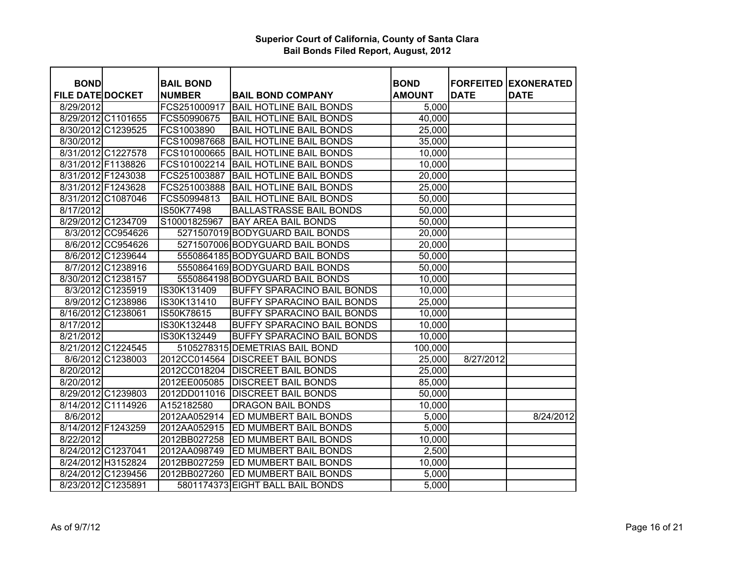| <b>BOND</b>             |                    | <b>BAIL BOND</b> |                                  | <b>BOND</b>   |             | <b>FORFEITED EXONERATED</b> |
|-------------------------|--------------------|------------------|----------------------------------|---------------|-------------|-----------------------------|
| <b>FILE DATE DOCKET</b> |                    | <b>NUMBER</b>    | <b>BAIL BOND COMPANY</b>         | <b>AMOUNT</b> | <b>DATE</b> | <b>DATE</b>                 |
| 8/29/2012               |                    | FCS251000917     | <b>BAIL HOTLINE BAIL BONDS</b>   | 5,000         |             |                             |
|                         | 8/29/2012 C1101655 | FCS50990675      | <b>BAIL HOTLINE BAIL BONDS</b>   | 40,000        |             |                             |
|                         | 8/30/2012 C1239525 | FCS1003890       | <b>BAIL HOTLINE BAIL BONDS</b>   | 25,000        |             |                             |
| 8/30/2012               |                    | FCS100987668     | <b>BAIL HOTLINE BAIL BONDS</b>   | 35,000        |             |                             |
|                         | 8/31/2012 C1227578 | FCS101000665     | <b>BAIL HOTLINE BAIL BONDS</b>   | 10,000        |             |                             |
|                         | 8/31/2012 F1138826 | FCS101002214     | <b>BAIL HOTLINE BAIL BONDS</b>   | 10,000        |             |                             |
|                         | 8/31/2012 F1243038 | FCS251003887     | <b>BAIL HOTLINE BAIL BONDS</b>   | 20,000        |             |                             |
|                         | 8/31/2012 F1243628 | FCS251003888     | <b>BAIL HOTLINE BAIL BONDS</b>   | 25,000        |             |                             |
|                         | 8/31/2012 C1087046 | FCS50994813      | <b>BAIL HOTLINE BAIL BONDS</b>   | 50,000        |             |                             |
| 8/17/2012               |                    | IS50K77498       | <b>BALLASTRASSE BAIL BONDS</b>   | 50,000        |             |                             |
|                         | 8/29/2012 C1234709 | S10001825967     | <b>BAY AREA BAIL BONDS</b>       | 50,000        |             |                             |
|                         | 8/3/2012 CC954626  |                  | 5271507019 BODYGUARD BAIL BONDS  |               |             |                             |
|                         | 8/6/2012 CC954626  |                  | 5271507006 BODYGUARD BAIL BONDS  | 20,000        |             |                             |
|                         |                    |                  |                                  | 20,000        |             |                             |
|                         | 8/6/2012 C1239644  |                  | 5550864185 BODYGUARD BAIL BONDS  | 50,000        |             |                             |
|                         | 8/7/2012 C1238916  |                  | 5550864169 BODYGUARD BAIL BONDS  | 50,000        |             |                             |
|                         | 8/30/2012 C1238157 |                  | 5550864198 BODYGUARD BAIL BONDS  | 10,000        |             |                             |
|                         | 8/3/2012 C1235919  | IS30K131409      | BUFFY SPARACINO BAIL BONDS       | 10,000        |             |                             |
|                         | 8/9/2012 C1238986  | IS30K131410      | BUFFY SPARACINO BAIL BONDS       | 25,000        |             |                             |
|                         | 8/16/2012 C1238061 | IS50K78615       | BUFFY SPARACINO BAIL BONDS       | 10,000        |             |                             |
| 8/17/2012               |                    | IS30K132448      | BUFFY SPARACINO BAIL BONDS       | 10,000        |             |                             |
| 8/21/2012               |                    | IS30K132449      | BUFFY SPARACINO BAIL BONDS       | 10,000        |             |                             |
|                         | 8/21/2012 C1224545 |                  | 5105278315 DEMETRIAS BAIL BOND   | 100,000       |             |                             |
|                         | 8/6/2012 C1238003  | 2012CC014564     | <b>DISCREET BAIL BONDS</b>       | 25,000        | 8/27/2012   |                             |
| 8/20/2012               |                    | 2012CC018204     | <b>DISCREET BAIL BONDS</b>       | 25,000        |             |                             |
| 8/20/2012               |                    | 2012EE005085     | <b>DISCREET BAIL BONDS</b>       | 85,000        |             |                             |
|                         | 8/29/2012 C1239803 | 2012DD011016     | <b>DISCREET BAIL BONDS</b>       | 50,000        |             |                             |
|                         | 8/14/2012 C1114926 | A152182580       | <b>DRAGON BAIL BONDS</b>         | 10,000        |             |                             |
| 8/6/2012                |                    | 2012AA052914     | ED MUMBERT BAIL BONDS            | 5,000         |             | 8/24/2012                   |
| 8/14/2012 F1243259      |                    | 2012AA052915     | ED MUMBERT BAIL BONDS            | 5,000         |             |                             |
| 8/22/2012               |                    | 2012BB027258     | ED MUMBERT BAIL BONDS            | 10,000        |             |                             |
| 8/24/2012 C1237041      |                    | 2012AA098749     | ED MUMBERT BAIL BONDS            | 2,500         |             |                             |
|                         | 8/24/2012 H3152824 | 2012BB027259     | ED MUMBERT BAIL BONDS            | 10,000        |             |                             |
|                         | 8/24/2012 C1239456 | 2012BB027260     | <b>ED MUMBERT BAIL BONDS</b>     | 5,000         |             |                             |
| 8/23/2012 C1235891      |                    |                  | 5801174373 EIGHT BALL BAIL BONDS | 5,000         |             |                             |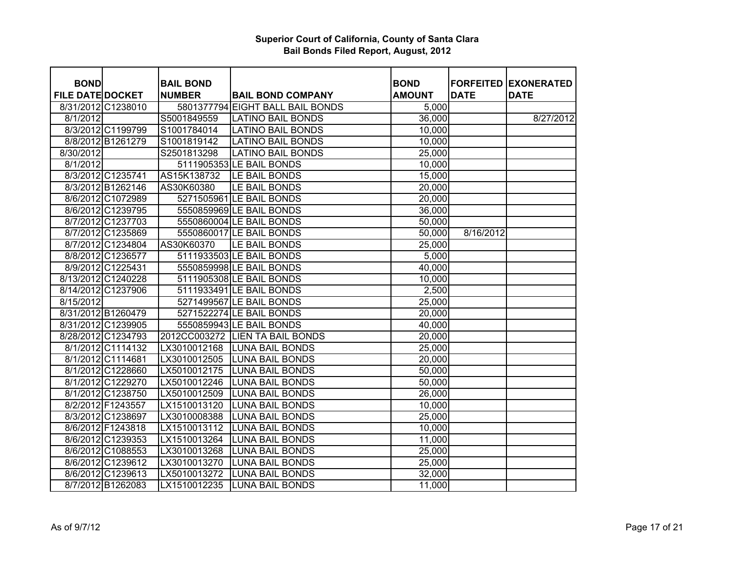| <b>BOND</b>             |                   |                                   |                                  | <b>BOND</b>   |             |                                            |
|-------------------------|-------------------|-----------------------------------|----------------------------------|---------------|-------------|--------------------------------------------|
| <b>FILE DATE DOCKET</b> |                   | <b>BAIL BOND</b><br><b>NUMBER</b> | <b>BAIL BOND COMPANY</b>         | <b>AMOUNT</b> | <b>DATE</b> | <b>FORFEITED EXONERATED</b><br><b>DATE</b> |
| 8/31/2012 C1238010      |                   |                                   | 5801377794 EIGHT BALL BAIL BONDS | 5,000         |             |                                            |
| 8/1/2012                |                   | S5001849559                       | <b>LATINO BAIL BONDS</b>         | 36,000        |             | 8/27/2012                                  |
|                         | 8/3/2012 C1199799 | S1001784014                       | <b>LATINO BAIL BONDS</b>         | 10,000        |             |                                            |
|                         | 8/8/2012 B1261279 | S1001819142                       | <b>LATINO BAIL BONDS</b>         | 10,000        |             |                                            |
| 8/30/2012               |                   | S2501813298                       | <b>LATINO BAIL BONDS</b>         | 25,000        |             |                                            |
| 8/1/2012                |                   |                                   | 5111905353 LE BAIL BONDS         | 10,000        |             |                                            |
|                         | 8/3/2012 C1235741 | AS15K138732                       | LE BAIL BONDS                    | 15,000        |             |                                            |
|                         | 8/3/2012 B1262146 | AS30K60380                        | LE BAIL BONDS                    | 20,000        |             |                                            |
|                         | 8/6/2012 C1072989 |                                   | 5271505961 LE BAIL BONDS         | 20,000        |             |                                            |
|                         | 8/6/2012 C1239795 |                                   | 5550859969 LE BAIL BONDS         | 36,000        |             |                                            |
|                         | 8/7/2012 C1237703 |                                   | 5550860004 LE BAIL BONDS         | 50,000        |             |                                            |
|                         | 8/7/2012 C1235869 |                                   | 5550860017 LE BAIL BONDS         | 50,000        | 8/16/2012   |                                            |
|                         | 8/7/2012 C1234804 | AS30K60370                        | LE BAIL BONDS                    | 25,000        |             |                                            |
|                         | 8/8/2012 C1236577 |                                   | 5111933503 LE BAIL BONDS         | 5,000         |             |                                            |
|                         | 8/9/2012 C1225431 |                                   | 5550859998LE BAIL BONDS          | 40,000        |             |                                            |
| 8/13/2012 C1240228      |                   |                                   | 5111905308 LE BAIL BONDS         | 10,000        |             |                                            |
| 8/14/2012 C1237906      |                   |                                   | 5111933491 LE BAIL BONDS         | 2,500         |             |                                            |
| 8/15/2012               |                   |                                   | 5271499567 LE BAIL BONDS         | 25,000        |             |                                            |
| 8/31/2012 B1260479      |                   |                                   | 5271522274 LE BAIL BONDS         | 20,000        |             |                                            |
| 8/31/2012 C1239905      |                   |                                   | 5550859943 LE BAIL BONDS         | 40,000        |             |                                            |
| 8/28/2012 C1234793      |                   |                                   | 2012CC003272 LIEN TA BAIL BONDS  | 20,000        |             |                                            |
|                         | 8/1/2012 C1114132 | LX3010012168                      | <b>LUNA BAIL BONDS</b>           | 25,000        |             |                                            |
|                         | 8/1/2012 C1114681 | LX3010012505                      | <b>LUNA BAIL BONDS</b>           | 20,000        |             |                                            |
|                         | 8/1/2012 C1228660 | LX5010012175                      | <b>LUNA BAIL BONDS</b>           | 50,000        |             |                                            |
|                         | 8/1/2012 C1229270 | LX5010012246                      | <b>LUNA BAIL BONDS</b>           | 50,000        |             |                                            |
|                         | 8/1/2012 C1238750 | LX5010012509                      | <b>LUNA BAIL BONDS</b>           | 26,000        |             |                                            |
|                         | 8/2/2012 F1243557 | LX1510013120                      | <b>LUNA BAIL BONDS</b>           | 10,000        |             |                                            |
|                         | 8/3/2012 C1238697 | LX3010008388                      | <b>LUNA BAIL BONDS</b>           | 25,000        |             |                                            |
|                         | 8/6/2012 F1243818 | LX1510013112                      | <b>LUNA BAIL BONDS</b>           | 10,000        |             |                                            |
|                         | 8/6/2012 C1239353 | LX1510013264                      | <b>LUNA BAIL BONDS</b>           | 11,000        |             |                                            |
|                         | 8/6/2012 C1088553 | LX3010013268                      | <b>LUNA BAIL BONDS</b>           | 25,000        |             |                                            |
|                         | 8/6/2012 C1239612 | LX3010013270                      | <b>LUNA BAIL BONDS</b>           | 25,000        |             |                                            |
|                         | 8/6/2012 C1239613 | LX5010013272                      | <b>LUNA BAIL BONDS</b>           | 32,000        |             |                                            |
|                         | 8/7/2012 B1262083 | LX1510012235                      | <b>LUNA BAIL BONDS</b>           | 11,000        |             |                                            |
|                         |                   |                                   |                                  |               |             |                                            |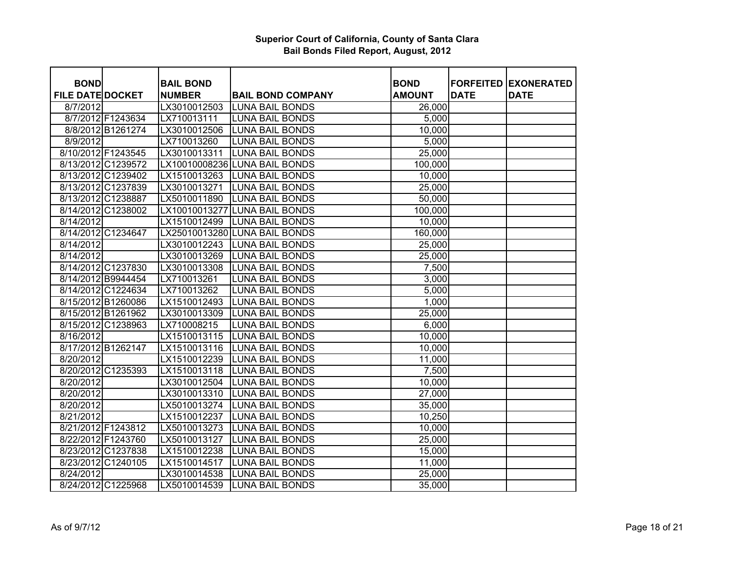| <b>BOND</b>             |                    | <b>BAIL BOND</b> |                               | <b>BOND</b>   |             | <b>FORFEITED EXONERATED</b> |
|-------------------------|--------------------|------------------|-------------------------------|---------------|-------------|-----------------------------|
| <b>FILE DATE DOCKET</b> |                    | <b>NUMBER</b>    | <b>BAIL BOND COMPANY</b>      | <b>AMOUNT</b> | <b>DATE</b> | <b>DATE</b>                 |
| 8/7/2012                |                    | LX3010012503     | <b>LUNA BAIL BONDS</b>        | 26,000        |             |                             |
|                         | 8/7/2012 F1243634  | LX710013111      | <b>LUNA BAIL BONDS</b>        | 5,000         |             |                             |
|                         | 8/8/2012 B1261274  | LX3010012506     | <b>LUNA BAIL BONDS</b>        | 10,000        |             |                             |
| 8/9/2012                |                    | LX710013260      | <b>LUNA BAIL BONDS</b>        | 5,000         |             |                             |
|                         | 8/10/2012 F1243545 | LX3010013311     | <b>LUNA BAIL BONDS</b>        | 25,000        |             |                             |
|                         | 8/13/2012 C1239572 |                  | LX10010008236 LUNA BAIL BONDS | 100,000       |             |                             |
|                         | 8/13/2012 C1239402 | LX1510013263     | <b>LUNA BAIL BONDS</b>        | 10,000        |             |                             |
|                         | 8/13/2012 C1237839 | LX3010013271     | <b>LUNA BAIL BONDS</b>        | 25,000        |             |                             |
|                         | 8/13/2012 C1238887 | LX5010011890     | <b>LUNA BAIL BONDS</b>        | 50,000        |             |                             |
|                         | 8/14/2012 C1238002 |                  | LX10010013277 LUNA BAIL BONDS | 100,000       |             |                             |
| 8/14/2012               |                    | LX1510012499     | <b>LUNA BAIL BONDS</b>        | 10,000        |             |                             |
|                         | 8/14/2012 C1234647 |                  | LX25010013280 LUNA BAIL BONDS | 160,000       |             |                             |
| 8/14/2012               |                    | LX3010012243     | <b>ILUNA BAIL BONDS</b>       | 25,000        |             |                             |
| 8/14/2012               |                    | LX3010013269     | <b>LUNA BAIL BONDS</b>        | 25,000        |             |                             |
|                         | 8/14/2012 C1237830 | LX3010013308     | <b>LUNA BAIL BONDS</b>        | 7,500         |             |                             |
|                         | 8/14/2012 B9944454 | LX710013261      | LUNA BAIL BONDS               | 3,000         |             |                             |
|                         | 8/14/2012 C1224634 | LX710013262      | <b>LUNA BAIL BONDS</b>        | 5,000         |             |                             |
|                         | 8/15/2012 B1260086 | LX1510012493     | <b>LUNA BAIL BONDS</b>        | 1,000         |             |                             |
|                         | 8/15/2012 B1261962 | LX3010013309     | <b>LUNA BAIL BONDS</b>        | 25,000        |             |                             |
|                         | 8/15/2012 C1238963 | LX710008215      | <b>LUNA BAIL BONDS</b>        | 6,000         |             |                             |
| 8/16/2012               |                    | LX1510013115     | <b>LUNA BAIL BONDS</b>        | 10,000        |             |                             |
|                         | 8/17/2012 B1262147 | LX1510013116     | <b>LUNA BAIL BONDS</b>        | 10,000        |             |                             |
| 8/20/2012               |                    | LX1510012239     | <b>LUNA BAIL BONDS</b>        | 11,000        |             |                             |
|                         | 8/20/2012 C1235393 | LX1510013118     | <b>LUNA BAIL BONDS</b>        | 7,500         |             |                             |
| 8/20/2012               |                    | LX3010012504     | <b>LUNA BAIL BONDS</b>        | 10,000        |             |                             |
| 8/20/2012               |                    | LX3010013310     | <b>LUNA BAIL BONDS</b>        | 27,000        |             |                             |
| 8/20/2012               |                    | LX5010013274     | <b>LUNA BAIL BONDS</b>        | 35,000        |             |                             |
| 8/21/2012               |                    | LX1510012237     | <b>LUNA BAIL BONDS</b>        | 10,250        |             |                             |
|                         | 8/21/2012 F1243812 | LX5010013273     | <b>LUNA BAIL BONDS</b>        | 10,000        |             |                             |
|                         | 8/22/2012 F1243760 | LX5010013127     | <b>LUNA BAIL BONDS</b>        | 25,000        |             |                             |
|                         | 8/23/2012 C1237838 | LX1510012238     | <b>LUNA BAIL BONDS</b>        | 15,000        |             |                             |
|                         | 8/23/2012 C1240105 | LX1510014517     | <b>LUNA BAIL BONDS</b>        | 11,000        |             |                             |
| 8/24/2012               |                    | LX3010014538     | <b>LUNA BAIL BONDS</b>        | 25,000        |             |                             |
|                         | 8/24/2012 C1225968 | LX5010014539     | <b>LUNA BAIL BONDS</b>        | 35,000        |             |                             |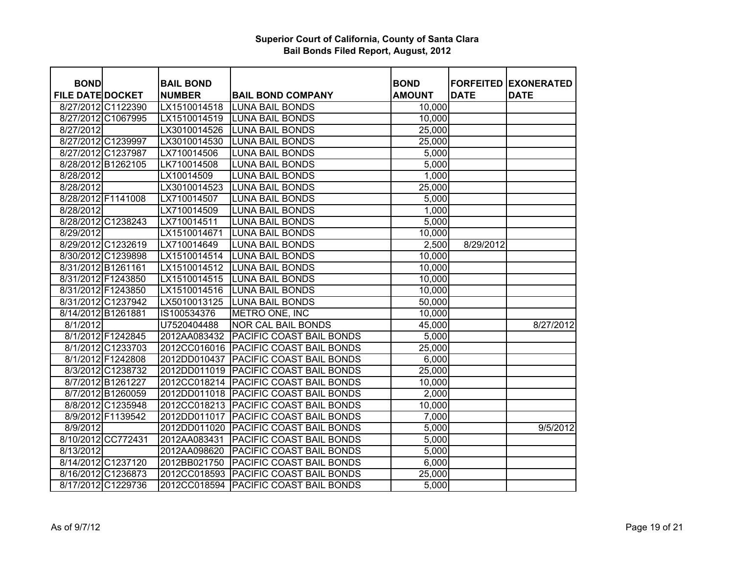| <b>BOND</b>             |                   | <b>BAIL BOND</b> |                                 | <b>BOND</b>   |             | <b>FORFEITED EXONERATED</b> |
|-------------------------|-------------------|------------------|---------------------------------|---------------|-------------|-----------------------------|
| <b>FILE DATE DOCKET</b> |                   | <b>NUMBER</b>    | <b>BAIL BOND COMPANY</b>        | <b>AMOUNT</b> | <b>DATE</b> | <b>DATE</b>                 |
| 8/27/2012 C1122390      |                   | LX1510014518     | <b>LUNA BAIL BONDS</b>          | 10,000        |             |                             |
| 8/27/2012 C1067995      |                   | LX1510014519     | <b>LUNA BAIL BONDS</b>          | 10,000        |             |                             |
| 8/27/2012               |                   | LX3010014526     | <b>LUNA BAIL BONDS</b>          | 25,000        |             |                             |
| 8/27/2012 C1239997      |                   | LX3010014530     | <b>LUNA BAIL BONDS</b>          | 25,000        |             |                             |
| 8/27/2012 C1237987      |                   | LX710014506      | <b>LUNA BAIL BONDS</b>          | 5,000         |             |                             |
| 8/28/2012 B1262105      |                   | LK710014508      | <b>LUNA BAIL BONDS</b>          | 5,000         |             |                             |
|                         |                   |                  |                                 |               |             |                             |
| 8/28/2012               |                   | LX10014509       | <b>LUNA BAIL BONDS</b>          | 1,000         |             |                             |
| 8/28/2012               |                   | LX3010014523     | <b>LUNA BAIL BONDS</b>          | 25,000        |             |                             |
| 8/28/2012 F1141008      |                   | LX710014507      | <b>LUNA BAIL BONDS</b>          | 5,000         |             |                             |
| 8/28/2012               |                   | LX710014509      | <b>LUNA BAIL BONDS</b>          | 1,000         |             |                             |
| 8/28/2012 C1238243      |                   | LX710014511      | <b>LUNA BAIL BONDS</b>          | 5,000         |             |                             |
| 8/29/2012               |                   | LX1510014671     | <b>LUNA BAIL BONDS</b>          | 10,000        |             |                             |
| 8/29/2012 C1232619      |                   | LX710014649      | LUNA BAIL BONDS                 | 2,500         | 8/29/2012   |                             |
| 8/30/2012 C1239898      |                   | LX1510014514     | <b>LUNA BAIL BONDS</b>          | 10,000        |             |                             |
| 8/31/2012 B1261161      |                   | LX1510014512     | <b>LUNA BAIL BONDS</b>          | 10,000        |             |                             |
| 8/31/2012 F1243850      |                   | LX1510014515     | <b>LUNA BAIL BONDS</b>          | 10,000        |             |                             |
| 8/31/2012 F1243850      |                   | LX1510014516     | <b>LUNA BAIL BONDS</b>          | 10,000        |             |                             |
| 8/31/2012 C1237942      |                   | LX5010013125     | <b>LUNA BAIL BONDS</b>          | 50,000        |             |                             |
| 8/14/2012 B1261881      |                   | IS100534376      | METRO ONE, INC                  | 10,000        |             |                             |
| 8/1/2012                |                   | U7520404488      | <b>NOR CAL BAIL BONDS</b>       | 45,000        |             | 8/27/2012                   |
|                         | 8/1/2012 F1242845 | 2012AA083432     | PACIFIC COAST BAIL BONDS        | 5,000         |             |                             |
|                         | 8/1/2012 C1233703 | 2012CC016016     | <b>PACIFIC COAST BAIL BONDS</b> | 25,000        |             |                             |
|                         | 8/1/2012 F1242808 | 2012DD010437     | <b>PACIFIC COAST BAIL BONDS</b> | 6,000         |             |                             |
|                         | 8/3/2012 C1238732 | 2012DD011019     | <b>PACIFIC COAST BAIL BONDS</b> | 25,000        |             |                             |
|                         | 8/7/2012 B1261227 | 2012CC018214     | <b>PACIFIC COAST BAIL BONDS</b> | 10,000        |             |                             |
|                         | 8/7/2012 B1260059 | 2012DD011018     | <b>PACIFIC COAST BAIL BONDS</b> | 2,000         |             |                             |
|                         | 8/8/2012 C1235948 | 2012CC018213     | <b>PACIFIC COAST BAIL BONDS</b> | 10,000        |             |                             |
|                         | 8/9/2012 F1139542 | 2012DD011017     | <b>PACIFIC COAST BAIL BONDS</b> | 7,000         |             |                             |
| 8/9/2012                |                   | 2012DD011020     | <b>PACIFIC COAST BAIL BONDS</b> | 5,000         |             | 9/5/2012                    |
| 8/10/2012 CC772431      |                   | 2012AA083431     | PACIFIC COAST BAIL BONDS        | 5,000         |             |                             |
| 8/13/2012               |                   | 2012AA098620     | PACIFIC COAST BAIL BONDS        | 5,000         |             |                             |
| 8/14/2012 C1237120      |                   | 2012BB021750     | <b>PACIFIC COAST BAIL BONDS</b> | 6,000         |             |                             |
| 8/16/2012 C1236873      |                   | 2012CC018593     | <b>PACIFIC COAST BAIL BONDS</b> | 25,000        |             |                             |
| 8/17/2012 C1229736      |                   | 2012CC018594     | PACIFIC COAST BAIL BONDS        | 5,000         |             |                             |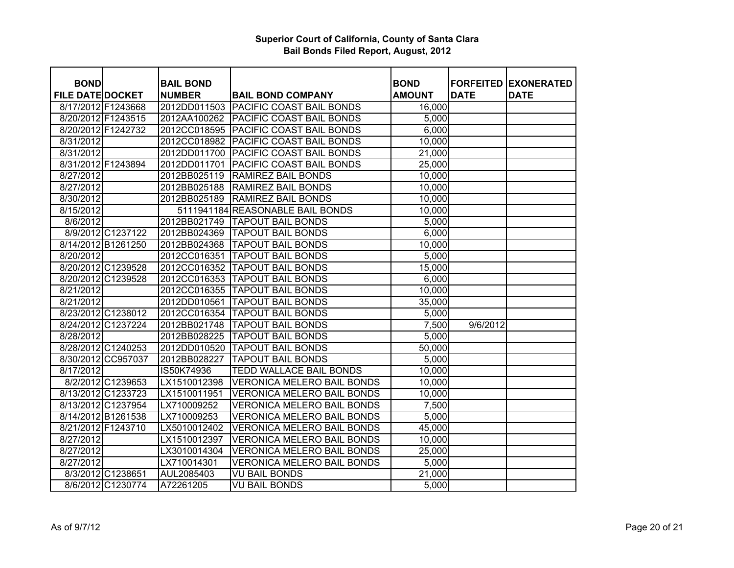| <b>BOND</b>             |                    | <b>BAIL BOND</b> |                                       | <b>BOND</b>   |             | <b>FORFEITED EXONERATED</b> |
|-------------------------|--------------------|------------------|---------------------------------------|---------------|-------------|-----------------------------|
| <b>FILE DATE DOCKET</b> |                    | <b>NUMBER</b>    | <b>BAIL BOND COMPANY</b>              | <b>AMOUNT</b> | <b>DATE</b> | <b>DATE</b>                 |
|                         | 8/17/2012 F1243668 |                  | 2012DD011503 PACIFIC COAST BAIL BONDS | 16,000        |             |                             |
|                         | 8/20/2012 F1243515 |                  | 2012AA100262 PACIFIC COAST BAIL BONDS | 5,000         |             |                             |
|                         | 8/20/2012 F1242732 |                  | 2012CC018595 PACIFIC COAST BAIL BONDS | 6,000         |             |                             |
| 8/31/2012               |                    |                  | 2012CC018982 PACIFIC COAST BAIL BONDS | 10,000        |             |                             |
| 8/31/2012               |                    |                  | 2012DD011700 PACIFIC COAST BAIL BONDS | 21,000        |             |                             |
|                         | 8/31/2012 F1243894 | 2012DD011701     | <b>PACIFIC COAST BAIL BONDS</b>       | 25,000        |             |                             |
| 8/27/2012               |                    | 2012BB025119     | <b>RAMIREZ BAIL BONDS</b>             | 10,000        |             |                             |
| 8/27/2012               |                    | 2012BB025188     | <b>RAMIREZ BAIL BONDS</b>             | 10,000        |             |                             |
| 8/30/2012               |                    | 2012BB025189     | <b>RAMIREZ BAIL BONDS</b>             | 10,000        |             |                             |
| 8/15/2012               |                    |                  | 5111941184 REASONABLE BAIL BONDS      | 10,000        |             |                             |
| 8/6/2012                |                    | 2012BB021749     | <b>TAPOUT BAIL BONDS</b>              | 5,000         |             |                             |
|                         | 8/9/2012 C1237122  | 2012BB024369     | <b>TAPOUT BAIL BONDS</b>              | 6,000         |             |                             |
|                         | 8/14/2012 B1261250 | 2012BB024368     | <b>TAPOUT BAIL BONDS</b>              | 10,000        |             |                             |
| 8/20/2012               |                    | 2012CC016351     | <b>TAPOUT BAIL BONDS</b>              | 5,000         |             |                             |
|                         | 8/20/2012 C1239528 | 2012CC016352     | <b>TAPOUT BAIL BONDS</b>              | 15,000        |             |                             |
|                         | 8/20/2012 C1239528 |                  | 2012CC016353 TAPOUT BAIL BONDS        | 6,000         |             |                             |
| 8/21/2012               |                    |                  | 2012CC016355 TAPOUT BAIL BONDS        | 10,000        |             |                             |
| 8/21/2012               |                    | 2012DD010561     | <b>TAPOUT BAIL BONDS</b>              | 35,000        |             |                             |
|                         | 8/23/2012 C1238012 | 2012CC016354     | <b>TAPOUT BAIL BONDS</b>              | 5,000         |             |                             |
|                         | 8/24/2012 C1237224 | 2012BB021748     | <b>TAPOUT BAIL BONDS</b>              | 7,500         | 9/6/2012    |                             |
| 8/28/2012               |                    | 2012BB028225     | <b>TAPOUT BAIL BONDS</b>              | 5,000         |             |                             |
|                         | 8/28/2012 C1240253 | 2012DD010520     | <b>TAPOUT BAIL BONDS</b>              | 50,000        |             |                             |
|                         | 8/30/2012 CC957037 | 2012BB028227     | <b>TAPOUT BAIL BONDS</b>              | 5,000         |             |                             |
| 8/17/2012               |                    | IS50K74936       | TEDD WALLACE BAIL BONDS               | 10,000        |             |                             |
|                         | 8/2/2012 C1239653  | LX1510012398     | <b>VERONICA MELERO BAIL BONDS</b>     | 10,000        |             |                             |
|                         | 8/13/2012 C1233723 | LX1510011951     | <b>VERONICA MELERO BAIL BONDS</b>     | 10,000        |             |                             |
|                         | 8/13/2012 C1237954 | LX710009252      | <b>VERONICA MELERO BAIL BONDS</b>     | 7,500         |             |                             |
|                         | 8/14/2012 B1261538 | LX710009253      | <b>VERONICA MELERO BAIL BONDS</b>     | 5,000         |             |                             |
|                         | 8/21/2012 F1243710 | LX5010012402     | <b>VERONICA MELERO BAIL BONDS</b>     | 45,000        |             |                             |
| 8/27/2012               |                    | LX1510012397     | <b>VERONICA MELERO BAIL BONDS</b>     | 10,000        |             |                             |
| 8/27/2012               |                    | LX3010014304     | VERONICA MELERO BAIL BONDS            | 25,000        |             |                             |
| 8/27/2012               |                    | LX710014301      | <b>VERONICA MELERO BAIL BONDS</b>     | 5,000         |             |                             |
|                         | 8/3/2012 C1238651  | AUL2085403       | <b>VU BAIL BONDS</b>                  | 21,000        |             |                             |
|                         | 8/6/2012 C1230774  | A72261205        | <b>VU BAIL BONDS</b>                  | 5,000         |             |                             |